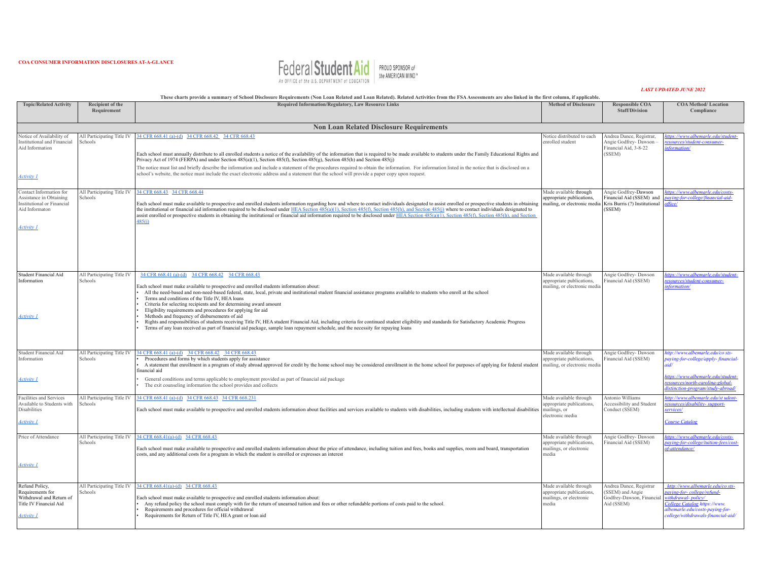

|                                                                                                                         | These charts provide a summary of School Disclosure Requirements (Non Loan Related and Loan Related). Related Activities from the FSA Assessments are also linked in the first column, if applicable |                                                                                                                                                                                                                                                                                                                                                                                                                                                                                                                                                                                                                                                                                                                                                                                                                                                                                                            |                                                                                         |                                                                                             |                                                                                                                                                                                               |  |  |  |
|-------------------------------------------------------------------------------------------------------------------------|------------------------------------------------------------------------------------------------------------------------------------------------------------------------------------------------------|------------------------------------------------------------------------------------------------------------------------------------------------------------------------------------------------------------------------------------------------------------------------------------------------------------------------------------------------------------------------------------------------------------------------------------------------------------------------------------------------------------------------------------------------------------------------------------------------------------------------------------------------------------------------------------------------------------------------------------------------------------------------------------------------------------------------------------------------------------------------------------------------------------|-----------------------------------------------------------------------------------------|---------------------------------------------------------------------------------------------|-----------------------------------------------------------------------------------------------------------------------------------------------------------------------------------------------|--|--|--|
| <b>Topic/Related Activity</b>                                                                                           | Recipient of the<br>Requirement                                                                                                                                                                      | Required Information/Regulatory, Law Resource Links                                                                                                                                                                                                                                                                                                                                                                                                                                                                                                                                                                                                                                                                                                                                                                                                                                                        | <b>Method of Disclosure</b>                                                             | <b>Responsible COA</b><br><b>Staff/Division</b>                                             | <b>COA Method/Location</b><br>Compliance                                                                                                                                                      |  |  |  |
|                                                                                                                         |                                                                                                                                                                                                      | <b>Non Loan Related Disclosure Requirements</b>                                                                                                                                                                                                                                                                                                                                                                                                                                                                                                                                                                                                                                                                                                                                                                                                                                                            |                                                                                         |                                                                                             |                                                                                                                                                                                               |  |  |  |
| Notice of Availability of<br>Institutional and Financial<br>Aid Information<br><b>Activity 1</b>                        | All Participating Title IV<br>Schools                                                                                                                                                                | 34 CFR 668.41 (a)-(d) 34 CFR 668.42 34 CFR 668.43<br>Each school must annually distribute to all enrolled students a notice of the availability of the information that is required to be made available to students under the Family Educational Rights and<br>Privacy Act of 1974 (FERPA) and under Section $485(a)(1)$ , Section $485(f)$ , Section $485(g)$ , Section $485(h)$ and Section $485(i)$<br>The notice must list and briefly describe the information and include a statement of the procedures required to obtain the information. For information listed in the notice that is disclosed on a<br>school's website, the notice must include the exact electronic address and a statement that the school will provide a paper copy upon request.                                                                                                                                           | Notice distributed to each<br>enrolled student                                          | Andrea Dance, Registrar,<br>Angie Godfrey-Dawson -<br>Financial Aid, 3-8-22<br>(SSEM)       | ttps://www.albemarle.edu/student-<br>resources/student-consumer-<br>information/                                                                                                              |  |  |  |
| Contact Information for<br>Assistance in Obtaining<br>Institutional or Financial<br>Aid Informaton<br><b>Activity 1</b> | All Participating Title IV<br>Schools                                                                                                                                                                | 34 CFR 668.43 34 CFR 668.44<br>Each school must make available to prospective and enrolled students information regarding how and where to contact individuals designated to assist enrolled or prospective students in obtaining<br>the institutional or financial aid information required to be disclosed under HEA Section 485(a)(1), Section 485(f), Section 485(h), and Section 485(j) where to contact individuals designated to<br>assist enrolled or prospective students in obtaining the institutional or financial aid information required to be disclosed under HEA Section 485(a)(1), Section 485(f), Section 485(h), and Section<br>485(i)                                                                                                                                                                                                                                                 | Made available through<br>appropriate publications,<br>mailing, or electronic media     | Angie Godfrey-Dawson<br>Financial Aid (SSEM) and<br>Kris Burris (?) Institutional<br>(SSEM) | https://www.albemarle.edu/costs-<br>paying-for-college/financial-aid-<br>office/                                                                                                              |  |  |  |
| Student Financial Aid<br>Information<br><b>Activity 1</b>                                                               | All Participating Title IV<br>Schools                                                                                                                                                                | 34 CFR 668.41 (a)-(d) 34 CFR 668.42 34 CFR 668.43<br>Each school must make available to prospective and enrolled students information about:<br>All the need-based and non-need-based federal, state, local, private and institutional student financial assistance programs available to students who enroll at the school<br>Terms and conditions of the Title IV, HEA loans<br>Criteria for selecting recipients and for determining award amount<br>Eligibility requirements and procedures for applying for aid<br>Methods and frequency of disbursements of aid<br>Rights and responsibilities of students receiving Title IV, HEA student Financial Aid, including criteria for continued student eligibility and standards for Satisfactory Academic Progress<br>Terms of any loan received as part of financial aid package, sample loan repayment schedule, and the necessity for repaying loans | Made available through<br>appropriate publications,<br>mailing, or electronic media     | Angie Godfrey-Dawson<br>Financial Aid (SSEM)                                                | https://www.albemarle.edu/student-<br>resources/student-consumer-<br>information/                                                                                                             |  |  |  |
| Student Financial Aid<br>Information<br><b>Activity 1</b>                                                               | All Participating Title IV<br>Schools                                                                                                                                                                | 34 CFR 668.41 (a)-(d) 34 CFR 668.42 34 CFR 668.43<br>Procedures and forms by which students apply for assistance<br>A statement that enrollment in a program of study abroad approved for credit by the home school may be considered enrollment in the home school for purposes of applying for federal student<br>inancial aid<br>General conditions and terms applicable to employment provided as part of financial aid package<br>The exit counseling information the school provides and collects                                                                                                                                                                                                                                                                                                                                                                                                    | Made available through<br>appropriate publications,<br>mailing, or electronic media     | Angie Godfrey- Dawson<br>Financial Aid (SSEM)                                               | http://www.albemarle.edu/co sts-<br>paying-for-college/apply-financial-<br>https://www.albemarle.edu/student-<br>resources/north-carolina-global-<br>distinction-program/study-abroad/        |  |  |  |
| Facilities and Services<br>Available to Students with<br><b>Disabilities</b><br><u>Activity 1</u>                       | All Participating Title IV<br>Schools                                                                                                                                                                | 34 CFR 668.41 (a)-(d) 34 CFR 668.43 34 CFR 668.231<br>Each school must make available to prospective and enrolled students information about facilities and services available to students with disabilities, including students with intellectual disabilities                                                                                                                                                                                                                                                                                                                                                                                                                                                                                                                                                                                                                                            | Made available through<br>appropriate publications,<br>mailings, or<br>electronic media | Antonio Williams<br>Accessibility and Student<br>Conduct (SSEM)                             | http://www.albemarle.edu/st udent-<br>resources/disability-support-<br>services/<br><b>Course Catalog</b>                                                                                     |  |  |  |
| Price of Attendance<br><b>Activity 1</b>                                                                                | All Participating Title IV<br>Schools                                                                                                                                                                | 34 CFR 668.41(a)-(d) 34 CFR 668.43<br>Each school must make available to prospective and enrolled students information about the price of attendance, including tuition and fees, books and supplies, room and board, transportation<br>costs, and any additional costs for a program in which the student is enrolled or expresses an interest                                                                                                                                                                                                                                                                                                                                                                                                                                                                                                                                                            | Made available through<br>appropriate publications,<br>mailings, or electronic<br>media | Angie Godfrey-Dawson<br>Financial Aid (SSEM)                                                | https://www.albemarle.edu/costs-<br>paying-for-college/tuition-fees/cost-<br>of-attendance/                                                                                                   |  |  |  |
| Refund Policy,<br>Requirements for<br>Withdrawal and Return of<br>Title IV Financial Aid<br><b>Activity 1</b>           | All Participating Title IV<br>Schools                                                                                                                                                                | 34 CFR 668.41(a)-(d) 34 CFR 668.43<br>Each school must make available to prospective and enrolled students information about:<br>Any refund policy the school must comply with for the return of unearned tuition and fees or other refundable portions of costs paid to the school.<br>Requirements and procedures for official withdrawal<br>Requirements for Return of Title IV, HEA grant or loan aid                                                                                                                                                                                                                                                                                                                                                                                                                                                                                                  | Made available through<br>appropriate publications,<br>mailings, or electronic<br>media | Andrea Dance, Registrar<br>(SSEM) and Angie<br>Godfrey-Dawson, Financial<br>Aid (SSEM)      | http://www.albemarle.edu/co.sts-<br>paying-for-college/refund-<br>withdrawal-policy/<br>College Catalog https://www.<br>albemarle.edu/costs-paying-for-<br>college/withdrawals-financial-aid/ |  |  |  |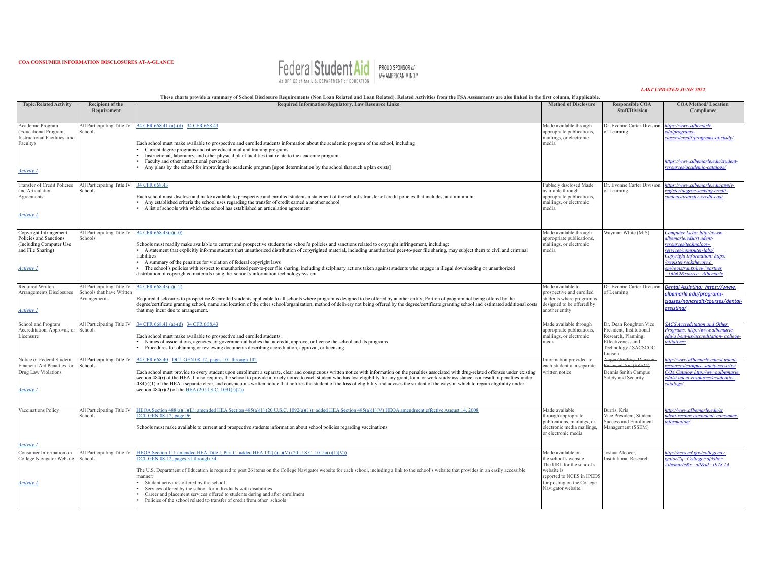

Ξ

|                                                                                                                                     | These charts provide a summary of School Disclosure Requirements (Non Loan Related and Loan Related). Related Activities from the FSA Assessments are also linked in the first column, if applicable. |                                                                                                                                                                                                                                                                                                                                                                                                                                                                                                                                                                                                                                                                                                                                                            |                                                                                                                                                                       |                                                                                                                                   |                                                                                                                                                                                                                                 |  |  |  |
|-------------------------------------------------------------------------------------------------------------------------------------|-------------------------------------------------------------------------------------------------------------------------------------------------------------------------------------------------------|------------------------------------------------------------------------------------------------------------------------------------------------------------------------------------------------------------------------------------------------------------------------------------------------------------------------------------------------------------------------------------------------------------------------------------------------------------------------------------------------------------------------------------------------------------------------------------------------------------------------------------------------------------------------------------------------------------------------------------------------------------|-----------------------------------------------------------------------------------------------------------------------------------------------------------------------|-----------------------------------------------------------------------------------------------------------------------------------|---------------------------------------------------------------------------------------------------------------------------------------------------------------------------------------------------------------------------------|--|--|--|
| <b>Topic/Related Activity</b>                                                                                                       | <b>Recipient of the</b><br>Requirement                                                                                                                                                                | <b>Required Information/Regulatory, Law Resource Links</b>                                                                                                                                                                                                                                                                                                                                                                                                                                                                                                                                                                                                                                                                                                 | <b>Method of Disclosure</b>                                                                                                                                           | <b>Responsible COA</b><br><b>Staff/Division</b>                                                                                   | <b>COA Method/Location</b><br>Compliance                                                                                                                                                                                        |  |  |  |
| Academic Program<br>(Educational Program,<br>Instructional Facilities, and<br>Faculty)<br>Activity 1                                | All Participating Title IV<br>Schools                                                                                                                                                                 | 34 CFR 668.41 (a)-(d) 34 CFR 668.43<br>Each school must make available to prospective and enrolled students information about the academic program of the school, including:<br>Current degree programs and other educational and training programs<br>Instructional, laboratory, and other physical plant facilities that relate to the academic program<br>Faculty and other instructional personnel<br>Any plans by the school for improving the academic program [upon determination by the school that such a plan exists]                                                                                                                                                                                                                            | Made available through<br>appropriate publications,<br>mailings, or electronic<br>media                                                                               | Dr. Evonne Carter Division<br>of Learning                                                                                         | https://www.albemarle.<br>edu/programs-<br>classes/credit/programs-of-study/<br>https://www.albemarle.edu/student-<br>resources/academic-catalogs.                                                                              |  |  |  |
| Transfer of Credit Policies<br>and Articulation<br>Agreements<br>Activity 1                                                         | All Participating Title IV<br>Schools                                                                                                                                                                 | 34 CFR 668.43<br>Each school must disclose and make available to prospective and enrolled students a statement of the school's transfer of credit policies that includes, at a minimum<br>Any established criteria the school uses regarding the transfer of credit earned a another school<br>A list of schools with which the school has established an articulation agreement                                                                                                                                                                                                                                                                                                                                                                           | Publicly disclosed Made<br>available through<br>appropriate publications.<br>mailings, or electronic<br>media                                                         | Dr. Evonne Carter Division<br>of Learning                                                                                         | https://www.albemarle.edu/apply-<br>register/degree-seeking-credit-<br>tudents/transfer-credit-coa/                                                                                                                             |  |  |  |
| Copyright Infringement<br>Policies and Sanctions<br>(Including Computer Use<br>and File Sharing)<br><i><u><b>Activity 1</b></u></i> | All Participating Title IV<br>Schools                                                                                                                                                                 | 34 CFR 668.43(a)(10)<br>Schools must readily make available to current and prospective students the school's policies and sanctions related to copyright infringement, including:<br>A statement that explicitly informs students that unauthorized distribution of copyrighted material, including unauthorized peer-to-peer file sharing, may subject them to civil and criminal<br>liabilities<br>A summary of the penalties for violation of federal copyright laws<br>The school's policies with respect to unauthorized peer-to-peer file sharing, including disciplinary actions taken against students who engage in illegal downloading or unauthorized<br>distribution of copyrighted materials using the school's information technology system | Made available through<br>appropriate publications,<br>mailings, or electronic<br>media                                                                               | Wayman White (MIS)                                                                                                                | Computer Labs: http://www.<br>albemarle.edu/st udent-<br>resources/technology-<br>services/computer-labs/<br>Copyright Information: https<br>register.rockthevote.c<br>om/registrants/new?partner<br>$=16669$ &source=Albemarle |  |  |  |
| Required Written<br>Arrangements Disclosures<br>Activity 1                                                                          | All Participating Title IV<br>Schools that have Written<br>Arrangements                                                                                                                               | 34 CFR 668.43(a)(12)<br>Required disclosures to prospective & enrolled students applicable to all schools where program is designed to be offered by another entity; Portion of program not being offered by the<br>degree/certificate granting school, name and location of the other school/organization, method of delivery not being offered by the degree/certificate granting school and estimated additional costs<br>that may incur due to arrangement.                                                                                                                                                                                                                                                                                            | Made available to<br>prospective and enrolled<br>students where program is<br>designed to be offered by<br>another entity                                             | Dr. Evonne Carter Division<br>of Learning                                                                                         | Dental Assisting: https://www.<br>albemarle.edu/programs-<br>classes/noncredit/courses/dental-<br>assisting/                                                                                                                    |  |  |  |
| School and Program<br>Accreditation, Approval, or<br>Licensure                                                                      | All Participating Title IV<br>Schools                                                                                                                                                                 | 34 CFR 668.41 (a)-(d) 34 CFR 668.43<br>Each school must make available to prospective and enrolled students:<br>Names of associations, agencies, or governmental bodies that accredit, approve, or license the school and its programs<br>Procedures for obtaining or reviewing documents describing accreditation, approval, or licensing                                                                                                                                                                                                                                                                                                                                                                                                                 | Made available through<br>appropriate publications,<br>mailings, or electronic<br>media                                                                               | Dr. Dean Roughton Vice<br>President. Institutional<br>Research, Planning,<br>Effectiveness and<br>Technology / SACSCOC<br>Liaison | <b>SACS Accreditation and Other</b><br>Programs: http://www.albemarle.<br>edu/a bout-us/accreditation-college-<br>nitiatives/                                                                                                   |  |  |  |
| Notice of Federal Student<br>Financial Aid Penalties for<br>Drug Law Violations<br>4 <i>ctivity 1</i>                               | All Participating Title IV<br>Schools                                                                                                                                                                 | 34 CFR 668.40 DCL GEN 08-12, pages 101 through 102<br>Each school must provide to every student upon enrollment a separate, clear and conspicuous written notice with information on the penalties associated with drug-related offenses under existing<br>section 484(r) of the HEA. It also requires the school to provide a timely notice to each student who has lost eligibility for any grant, loan, or work-study assistance as a result of penalties under<br>484(r)(1) of the HEA a separate clear, and conspicuous written notice that notifies the student of the loss of eligibility and advises the student of the ways in which to regain eligibility under<br>section 484(r)(2) of the HEA (20 U.S.C. 1091(r)(2))                           | Information provided to<br>each student in a separate<br>written notice                                                                                               | Angie Godfrey-Dawson,<br>Financial Aid (SSEM)<br>Dennis Smith Campus<br>Safety and Security                                       | http://www.albemarle.edu/st udent-<br>resources/campus- safety-security/<br>COA Catalog http://www.albemarle<br>edu/st udent-resources/academic-<br>atalogs/                                                                    |  |  |  |
| Vaccinations Policy                                                                                                                 | All Participating Title IV<br>Schools                                                                                                                                                                 | HEOA Section 488(a)(1)(E): amended HEA Section 485(a)(1) (20 U.S.C. 1092(a)(1)): added HEA Section 485(a)(1)(V) HEOA amendment effective August 14, 2008<br>DCL GEN 08-12, page 96<br>Schools must make available to current and prospective students information about school policies regarding vaccinations                                                                                                                                                                                                                                                                                                                                                                                                                                             | Made available<br>through appropriate<br>publications, mailings, or<br>electronic media mailings,<br>or electronic media                                              | Burris, Kris<br>Vice President, Student<br><b>Success and Enrollment</b><br>Management (SSEM)                                     | http://www.albemarle.edu/st<br>dent-resources/student- consumer-<br>information/                                                                                                                                                |  |  |  |
| Activity 1<br>Consumer Information on<br>College Navigator Website<br><u>Activity 1</u>                                             | All Participating Title IV<br>Schools                                                                                                                                                                 | HEOA Section 111 amended HEA Title I, Part C: added HEA $132(i)(1)(V)$ (20 U.S.C. $1015a(i)(1)(V)$ )<br>DCL GEN 08-12, pages 31 through 34<br>The U.S. Department of Education is required to post 26 items on the College Navigator website for each school, including a link to the school's website that provides in an easily accessible<br>manner:<br>Student activities offered by the school<br>Services offered by the school for individuals with disabilities<br>Career and placement services offered to students during and after enrollment<br>Policies of the school related to transfer of credit from other schools                                                                                                                        | Made available on<br>the school's website.<br>The URL for the school's<br>website is<br>reported to NCES in IPEDS<br>for posting on the College<br>Navigator website. | Joshua Alcocer,<br>Institutional Research                                                                                         | http://nces.ed.gov/collegenav<br>$igator$ /?q=College+of+the+<br>$Albemarle$ &s=all&id=1978 14                                                                                                                                  |  |  |  |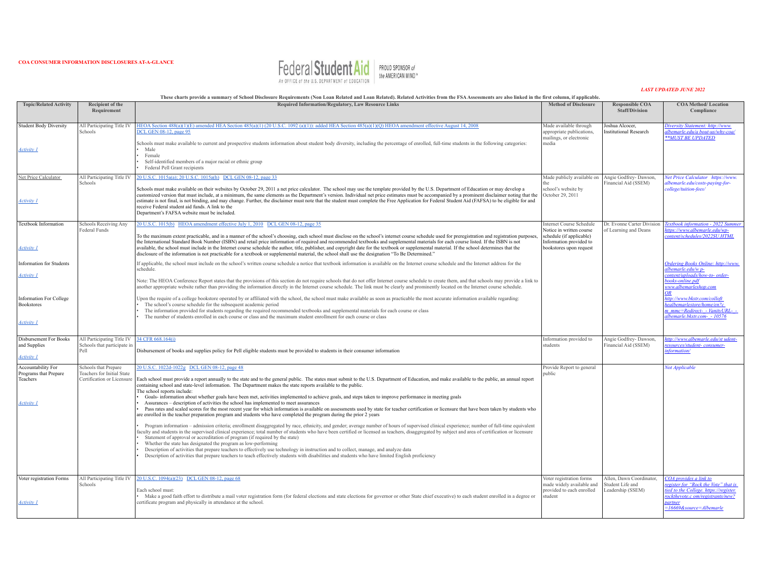

|                                                                                                                                                                        |                                                                                         | These charts provide a summary of School Disclosure Requirements (Non Loan Related and Loan Related). Related Activities from the FSA Assessments are also linked in the first column, if applicable                                                                                                                                                                                                                                                                                                                                                                                                                                                                                                                                                                                                                                                                                                                                                                                                                                                                                                                                                                                                                                                                                                                                                                                                                                                                                                                                                                                                                                                                                                                                 |                                                                                                                                               |                                                                   |                                                                                                                                                                                                                                                                                                                  |
|------------------------------------------------------------------------------------------------------------------------------------------------------------------------|-----------------------------------------------------------------------------------------|--------------------------------------------------------------------------------------------------------------------------------------------------------------------------------------------------------------------------------------------------------------------------------------------------------------------------------------------------------------------------------------------------------------------------------------------------------------------------------------------------------------------------------------------------------------------------------------------------------------------------------------------------------------------------------------------------------------------------------------------------------------------------------------------------------------------------------------------------------------------------------------------------------------------------------------------------------------------------------------------------------------------------------------------------------------------------------------------------------------------------------------------------------------------------------------------------------------------------------------------------------------------------------------------------------------------------------------------------------------------------------------------------------------------------------------------------------------------------------------------------------------------------------------------------------------------------------------------------------------------------------------------------------------------------------------------------------------------------------------|-----------------------------------------------------------------------------------------------------------------------------------------------|-------------------------------------------------------------------|------------------------------------------------------------------------------------------------------------------------------------------------------------------------------------------------------------------------------------------------------------------------------------------------------------------|
| <b>Topic/Related Activity</b>                                                                                                                                          | Recipient of the<br>Requirement                                                         | <b>Required Information/Regulatory, Law Resource Links</b>                                                                                                                                                                                                                                                                                                                                                                                                                                                                                                                                                                                                                                                                                                                                                                                                                                                                                                                                                                                                                                                                                                                                                                                                                                                                                                                                                                                                                                                                                                                                                                                                                                                                           | <b>Method of Disclosure</b>                                                                                                                   | <b>Responsible COA</b><br><b>Staff/Division</b>                   | <b>COA Method/Location</b><br>Compliance                                                                                                                                                                                                                                                                         |
| <b>Student Body Diversity</b><br>Activity 1                                                                                                                            | All Participating Title IV<br>Schools                                                   | HEOA Section 488(a)(1)(E) amended HEA Section 485(a)(1) (20 U.S.C. 1092 (a)(1)): added HEA Section 485(a)(1)(Q) HEOA amendment effective August 14, 2008<br><b>DCL GEN 08-12, page 95</b><br>Schools must make available to current and prospective students information about student body diversity, including the percentage of enrolled, full-time students in the following categories:<br>Male<br>Female<br>Self-identified members of a major racial or ethnic group<br>Federal Pell Grant recipients                                                                                                                                                                                                                                                                                                                                                                                                                                                                                                                                                                                                                                                                                                                                                                                                                                                                                                                                                                                                                                                                                                                                                                                                                         | Made available through<br>appropriate publications.<br>mailings, or electronic<br>media                                                       | Joshua Alcocer,<br><b>Institutional Research</b>                  | Diversity Statement: http://www.<br>(lbemarle.edu/a bout-us/why-coa<br>**MUST BE UPDATED                                                                                                                                                                                                                         |
| Net Price Calculator<br>Activity 1                                                                                                                                     | All Participating Title IV<br>Schools                                                   | 20 U.S.C. 1015a(a): 20 U.S.C. 1015a(h) DCL GEN 08-12, page 33<br>Schools must make available on their websites by October 29, 2011 a net price calculator. The school may use the template provided by the U.S. Department of Education or may develop a<br>customized version that must include, at a minimum, the same elements as the Department's version. Individual net price estimates must be accompanied by a prominent disclaimer noting that the<br>estimate is not final, is not binding, and may change. Further, the disclaimer must note that the student must complete the Free Application for Federal Student Aid (FAFSA) to be eligible for and<br>receive Federal student aid funds. A link to the<br>Department's FAFSA website must be included                                                                                                                                                                                                                                                                                                                                                                                                                                                                                                                                                                                                                                                                                                                                                                                                                                                                                                                                                                | Made publicly available on<br>school's website by<br>October 29, 2011                                                                         | Angie Godfrey- Dawson,<br>Financial Aid (SSEM)                    | Net Price Calculator https://www.<br>albemarle.edu/costs-paying-for-<br>college/tuition-fees/                                                                                                                                                                                                                    |
| <b>Textbook Information</b><br><i><u><b>Activity 1</b></u></i><br><b>Information for Students</b><br>Activity 1<br><b>Information For College</b><br><b>Bookstores</b> | Schools Receiving Any<br>Federal Funds                                                  | 20 U.S.C. 1015(b) HEOA amendment effective July 1, 2010 DCL GEN 08-12, page 35<br>To the maximum extent practicable, and in a manner of the school's choosing, each school must disclose on the school's internet course schedule used for preregistration and registration purposes,<br>the International Standard Book Number (ISBN) and retail price information of required and recommended textbooks and supplemental materials for each course listed. If the ISBN is not<br>available, the school must include in the Internet course schedule the author, title, publisher, and copyright date for the textbook or supplemental material. If the school determines that the<br>disclosure of the information is not practicable for a textbook or supplemental material, the school shall use the designation "To Be Determined."<br>If applicable, the school must include on the school's written course schedule a notice that textbook information is available on the Internet course schedule and the Internet address for the<br>schedule.<br>Note: The HEOA Conference Report states that the provisions of this section do not require schools that do not offer Internet course schedule to create them, and that schools may provide a link to<br>another appropriate website rather than providing the information directly in the Internet course schedule. The link must be clearly and prominently located on the Internet course schedule.<br>Upon the require of a college bookstore operated by or affiliated with the school, the school must make available as soon as practicable the most accurate information available regarding:<br>The school's course schedule for the subsequent academic period | <b>Internet Course Schedule</b><br>Notice in written course<br>schedule (if applicable)<br>Information provided to<br>bookstores upon request | Dr. Evonne Carter Division<br>of Learning and Deans               | Textbook information - 2022 Summer<br>ttps://www.albemarle.edu/wp-<br>ontent/schedules/2022SU.HTML<br><b>Ordering Books Online: http://www.</b><br>albemarle.edu/w p-<br>ontent/uploads/how-to- order-<br>books-online.pdf<br>www.albemarleshop.com<br>http://www.bkstr.com/colloft<br>ealbemarlestore/home/en?c |
| <i><u><b>Activity 1</b></u></i><br><b>Disbursement For Books</b>                                                                                                       | All Participating Title IV                                                              | The information provided for students regarding the required recommended textbooks and supplemental materials for each course or class<br>The number of students enrolled in each course or class and the maximum student enrollment for each course or class<br>34 CFR 668.164(i)                                                                                                                                                                                                                                                                                                                                                                                                                                                                                                                                                                                                                                                                                                                                                                                                                                                                                                                                                                                                                                                                                                                                                                                                                                                                                                                                                                                                                                                   | Information provided to                                                                                                                       | Angie Godfrey-Dawson,                                             | n mmc=Redirect- - VanityURL- -<br>ilbemarle.bkstr.com- - 10576<br>ttp://www.albemarle.edu/st udent-                                                                                                                                                                                                              |
| and Supplies<br>Activity 1                                                                                                                                             | Schools that participate in<br>Pell                                                     | Disbursement of books and supplies policy for Pell eligible students must be provided to students in their consumer information                                                                                                                                                                                                                                                                                                                                                                                                                                                                                                                                                                                                                                                                                                                                                                                                                                                                                                                                                                                                                                                                                                                                                                                                                                                                                                                                                                                                                                                                                                                                                                                                      | students                                                                                                                                      | Financial Aid (SSEM)                                              | resources/student-consumer-<br>nformation/                                                                                                                                                                                                                                                                       |
| Accountability For<br>Programs that Prepare<br>Teachers<br><i>Activity 1</i>                                                                                           | Schools that Prepare<br><b>Teachers for Initial State</b><br>Certification or Licensure | 0 U.S.C. 1022d-1022g DCL GEN 08-12, page 48<br>Each school must provide a report annually to the state and to the general public. The states must submit to the U.S. Department of Education, and make available to the public, an annual report<br>containing school and state-level information. The Department makes the state reports available to the public.<br>The school reports include:<br>Goals- information about whether goals have been met, activities implemented to achieve goals, and steps taken to improve performance in meeting goals<br>Assurances – description of activities the school has implemented to meet assurances<br>Pass rates and scaled scores for the most recent year for which information is available on assessments used by state for teacher certification or licensure that have been taken by students who<br>are enrolled in the teacher preparation program and students who have completed the program during the prior 2 years                                                                                                                                                                                                                                                                                                                                                                                                                                                                                                                                                                                                                                                                                                                                                     | Provide Report to general<br>miblic                                                                                                           |                                                                   | <b>Not Applicable</b>                                                                                                                                                                                                                                                                                            |
|                                                                                                                                                                        |                                                                                         | Program information - admission criteria; enrollment disaggregated by race, ethnicity, and gender; average number of hours of supervised clinical experience; number of full-time equivalent<br>faculty and students in the supervised clinical experience; total number of students who have been certified or licensed as teachers, disaggregated by subject and area of certification or licensure<br>Statement of approval or accreditation of program (if required by the state)<br>Whether the state has designated the program as low-performing<br>Description of activities that prepare teachers to effectively use technology in instruction and to collect, manage, and analyze data<br>Description of activities that prepare teachers to teach effectively students with disabilities and students who have limited English proficiency                                                                                                                                                                                                                                                                                                                                                                                                                                                                                                                                                                                                                                                                                                                                                                                                                                                                                |                                                                                                                                               |                                                                   |                                                                                                                                                                                                                                                                                                                  |
| Voter registration Forms<br>Activity 1                                                                                                                                 | All Participating Title IV<br>Schools                                                   | 20 U.S.C. 1094(a)(23) DCL GEN 08-12, page 68<br>Each school must:<br>Make a good faith effort to distribute a mail voter registration form (for federal elections and state elections for governor or other State chief executive) to each student enrolled in a degree or<br>certificate program and physically in attendance at the school.                                                                                                                                                                                                                                                                                                                                                                                                                                                                                                                                                                                                                                                                                                                                                                                                                                                                                                                                                                                                                                                                                                                                                                                                                                                                                                                                                                                        | Voter registration forms<br>made widely available and<br>provided to each enrolled<br>student                                                 | Allen. Dawn Coordinator,<br>Student Life and<br>Leadership (SSEM) | COA provides a link to<br>egister for "Rock the Vote" that is<br>ied to the College. https://register.<br>ockthevote.c om/registrants/new?<br>artner<br>$=16669$ &source=Albemarle                                                                                                                               |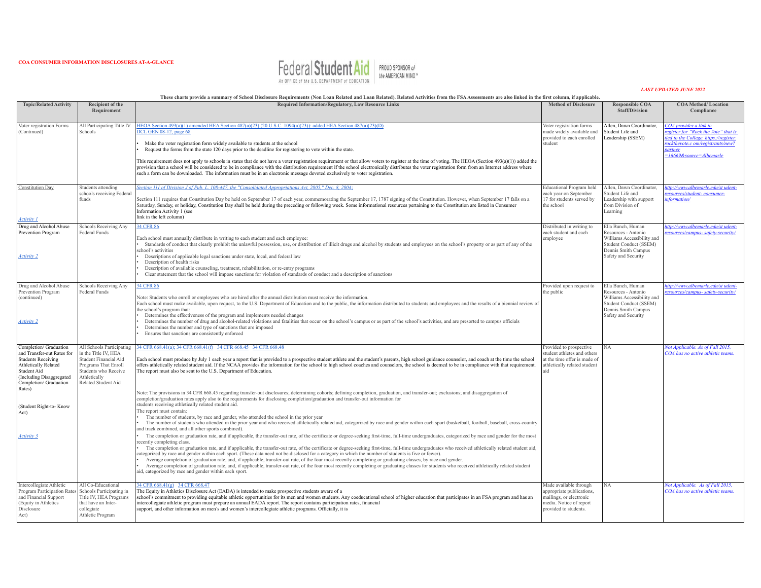

٦

|                                                                                                                                                                                                                                                  |                                                                                                                                                                   | These charts provide a summary of School Disclosure Requirements (Non Loan Related and Loan Related). Related Activities from the FSA Assessments are also linked in the first column, if applicable.                                                                                                                                                                                                                                                                                                                                                                                                                                                                                                                                                                                                                                                                                                                                                                                                                                                                                                                                                                                                                                                                                                                                                                                                                                                                                                                                                                                                                                                                                                                                                                                                                                                                                                                                                                                                                                                                                                                                                                                                                                                                                                                                                     |                                                                                                                                    |                                                                                                                                                |                                                                                                                                                                                        |
|--------------------------------------------------------------------------------------------------------------------------------------------------------------------------------------------------------------------------------------------------|-------------------------------------------------------------------------------------------------------------------------------------------------------------------|-----------------------------------------------------------------------------------------------------------------------------------------------------------------------------------------------------------------------------------------------------------------------------------------------------------------------------------------------------------------------------------------------------------------------------------------------------------------------------------------------------------------------------------------------------------------------------------------------------------------------------------------------------------------------------------------------------------------------------------------------------------------------------------------------------------------------------------------------------------------------------------------------------------------------------------------------------------------------------------------------------------------------------------------------------------------------------------------------------------------------------------------------------------------------------------------------------------------------------------------------------------------------------------------------------------------------------------------------------------------------------------------------------------------------------------------------------------------------------------------------------------------------------------------------------------------------------------------------------------------------------------------------------------------------------------------------------------------------------------------------------------------------------------------------------------------------------------------------------------------------------------------------------------------------------------------------------------------------------------------------------------------------------------------------------------------------------------------------------------------------------------------------------------------------------------------------------------------------------------------------------------------------------------------------------------------------------------------------------------|------------------------------------------------------------------------------------------------------------------------------------|------------------------------------------------------------------------------------------------------------------------------------------------|----------------------------------------------------------------------------------------------------------------------------------------------------------------------------------------|
| <b>Topic/Related Activity</b>                                                                                                                                                                                                                    | Recipient of the<br>Requirement                                                                                                                                   | <b>Required Information/Regulatory, Law Resource Links</b>                                                                                                                                                                                                                                                                                                                                                                                                                                                                                                                                                                                                                                                                                                                                                                                                                                                                                                                                                                                                                                                                                                                                                                                                                                                                                                                                                                                                                                                                                                                                                                                                                                                                                                                                                                                                                                                                                                                                                                                                                                                                                                                                                                                                                                                                                                | <b>Method of Disclosure</b>                                                                                                        | <b>Responsible COA</b><br><b>Staff/Division</b>                                                                                                | <b>COA Method/Location</b><br>Compliance                                                                                                                                               |
| Voter registration Forms<br>(Continued)                                                                                                                                                                                                          | All Participating Title IV<br>Schools                                                                                                                             | HEOA Section 493(a)(1) amended HEA Section 487(a)(23) (20 U.S.C. 1094(a)(23)); added HEA Section 487(a)(23)(D)<br>DCL GEN 08-12, page 68<br>Make the voter registration form widely available to students at the school<br>Request the forms from the state 120 days prior to the deadline for registering to vote within the state<br>This requirement does not apply to schools in states that do not have a voter registration requirement or that allow voters to register at the time of voting. The HEOA (Section 493(a)(1)) added the<br>provision that a school will be considered to be in compliance with the distribution requirement if the school electronically distributes the voter registration form from an Internet address where<br>such a form can be downloaded. The information must be in an electronic message devoted exclusively to voter registration.                                                                                                                                                                                                                                                                                                                                                                                                                                                                                                                                                                                                                                                                                                                                                                                                                                                                                                                                                                                                                                                                                                                                                                                                                                                                                                                                                                                                                                                                        | Voter registration forms<br>made widely available and<br>provided to each enrolled<br>student                                      | Allen, Dawn Coordinator,<br>Student Life and<br>Leadership (SSEM)                                                                              | COA provides a link to<br>egister for "Rock the Vote" that is<br>ied to the College, https://register.<br>ockthevote.c om/registrants/new?<br><b>artner</b><br>=16669&source=Albemarle |
| <b>Constitution Day</b><br><b>Activity 1</b>                                                                                                                                                                                                     | Students attending<br>schools receiving Federal<br>funds                                                                                                          | Section 111 of Division J of Pub. L. 108-447, the "Consolidated Appropriations Act, 2005," Dec. 8, 2004;<br>Section 111 requires that Constitution Day be held on September 17 of each year, commemorating the September 17, 1787 signing of the Constitution. However, when September 17 falls on a<br>Saturday, Sunday, or holiday, Constitution Day shall be held during the preceding or following week. Some informational resources pertaining to the Constitution are listed in Consumer<br>Information Activity 1 (see<br>link in the left column)                                                                                                                                                                                                                                                                                                                                                                                                                                                                                                                                                                                                                                                                                                                                                                                                                                                                                                                                                                                                                                                                                                                                                                                                                                                                                                                                                                                                                                                                                                                                                                                                                                                                                                                                                                                                | Educational Program held<br>each year on September<br>17 for students served by<br>the school                                      | Allen, Dawn Coordinator,<br>Student Life and<br>Leadership with support<br>from Division of<br>Learning                                        | ttp://www.albemarle.edu/st udent-<br>esources/student-consumer-<br>nformation/                                                                                                         |
| Drug and Alcohol Abuse<br>Prevention Program<br><b>Activity 2</b>                                                                                                                                                                                | Schools Receiving Any<br>Federal Funds                                                                                                                            | 34 CFR 86<br>Each school must annually distribute in writing to each student and each employee:<br>Standards of conduct that clearly prohibit the unlawful possession, use, or distribution of illicit drugs and alcohol by students and employees on the school's property or as part of any of the<br>chool's activities<br>Descriptions of applicable legal sanctions under state, local, and federal law<br>Description of health risks<br>Description of available counseling, treatment, rehabilitation, or re-entry programs<br>Clear statement that the school will impose sanctions for violation of standards of conduct and a description of sanctions                                                                                                                                                                                                                                                                                                                                                                                                                                                                                                                                                                                                                                                                                                                                                                                                                                                                                                                                                                                                                                                                                                                                                                                                                                                                                                                                                                                                                                                                                                                                                                                                                                                                                         | Distributed in writing to<br>each student and each<br>employee                                                                     | Ella Bunch, Human<br>Resources - Antonio<br>Williams Accessibility and<br>Student Conduct (SSEM)<br>Dennis Smith Campus<br>Safety and Security | ttp://www.albemarle.edu/st udent-<br>esources/campus-safety-security/                                                                                                                  |
| Drug and Alcohol Abuse<br>Prevention Program<br>(continued)<br><b>Activity 2</b>                                                                                                                                                                 | Schools Receiving Any<br>Federal Funds                                                                                                                            | 34 CFR 86<br>Note: Students who enroll or employees who are hired after the annual distribution must receive the information.<br>Each school must make available, upon request, to the U.S. Department of Education and to the public, the information distributed to students and employees and the results of a biennial review of<br>the school's program that:<br>Determines the effectiveness of the program and implements needed changes<br>Determines the number of drug and alcohol-related violations and fatalities that occur on the school's campus or as part of the school's activities, and are presorted to campus officials<br>Determines the number and type of sanctions that are imposed<br>Ensures that sanctions are consistently enforced                                                                                                                                                                                                                                                                                                                                                                                                                                                                                                                                                                                                                                                                                                                                                                                                                                                                                                                                                                                                                                                                                                                                                                                                                                                                                                                                                                                                                                                                                                                                                                                         | Provided upon request to<br>the public                                                                                             | Ella Bunch, Human<br>Resources - Antonio<br>Williams Accessibility and<br>Student Conduct (SSEM)<br>Dennis Smith Campus<br>Safety and Security | ttp://www.albemarle.edu/st udent-<br>esources/campus-safety-security/                                                                                                                  |
| Completion/ Graduation<br>and Transfer-out Rates for<br><b>Students Receiving</b><br><b>Athletically Related</b><br>Student Aid<br>(Including Disaggregated)<br>Completion/ Graduation<br>Rates)<br>(Student Right-to-Know<br>Act)<br>Activity 3 | All Schools Participating<br>in the Title IV, HEA<br>Student Financial Aid<br>Programs That Enroll<br>Students who Receive<br>Athletically<br>Related Student Aid | 34 CFR 668.41(a); 34 CFR 668.41(f) 34 CFR 668.45 34 CFR 668.48<br>Each school must produce by July 1 each year a report that is provided to a prospective student athlete and the student's parents, high school guidance counselor, and coach at the time the school<br>offers athletically related student aid. If the NCAA provides the information for the school to high school coaches and counselors, the school is deemed to be in compliance with that requirement.<br>The report must also be sent to the U.S. Department of Education.<br>Note: The provisions in 34 CFR 668.45 regarding transfer-out disclosures; determining cohorts; defining completion, graduation, and transfer-out; exclusions; and disaggregation of<br>completion/graduation rates apply also to the requirements for disclosing completion/graduation and transfer-out information for<br>students receiving athletically related student aid.<br>The report must contain:<br>The number of students, by race and gender, who attended the school in the prior year<br>The number of students who attended in the prior year and who received athletically related aid, categorized by race and gender within each sport (basketball, football, baseball, cross-country<br>and track combined, and all other sports combined).<br>The completion or graduation rate, and if applicable, the transfer-out rate, of the certificate or degree-seeking first-time, full-time undergraduates, categorized by race and gender for the most<br>recently completing class.<br>The completion or graduation rate, and if applicable, the transfer-out rate, of the certificate or degree-seeking first-time, full-time undergraduates who received athletically related student aid,<br>categorized by race and gender within each sport. (These data need not be disclosed for a category in which the number of students is five or fewer).<br>Average completion of graduation rate, and, if applicable, transfer-out rate, of the four most recently completing or graduating classes, by race and gender.<br>Average completion of graduation rate, and, if applicable, transfer-out rate, of the four most recently completing or graduating classes for students who received athletically related student<br>aid, categorized by race and gender within each sport. | Provided to prospective<br>student athletes and others<br>at the time offer is made of<br>athletically related student<br>aid      | NА                                                                                                                                             | Not Applicable. As of Fall 2015,<br>COA has no active athletic teams                                                                                                                   |
| Intercollegiate Athletic<br>Program Participation Rates<br>and Financial Support<br>(Equity in Athletics<br>Disclosure<br>Act)                                                                                                                   | All Co-Educational<br>Schools Participating in<br>Title IV, HEA Programs<br>that have an Inter-<br>collegiate<br>Athletic Program                                 | 34 CFR 668.41(g) 34 CFR 668.47<br>The Equity in Athletics Disclosure Act (EADA) is intended to make prospective students aware of a<br>school's commitment to providing equitable athletic opportunities for its men and women students. Any coeducational school of higher education that participates in an FSA program and has an<br>intercollegiate athletic program must prepare an annual EADA report. The report contains participation rates, financial<br>support, and other information on men's and women's intercollegiate athletic programs. Officially, it is                                                                                                                                                                                                                                                                                                                                                                                                                                                                                                                                                                                                                                                                                                                                                                                                                                                                                                                                                                                                                                                                                                                                                                                                                                                                                                                                                                                                                                                                                                                                                                                                                                                                                                                                                                               | Made available through<br>appropriate publications,<br>mailings, or electronic<br>media. Notice of report<br>provided to students. | NA                                                                                                                                             | Not Applicable. As of Fall 2015,<br>COA has no active athletic teams.                                                                                                                  |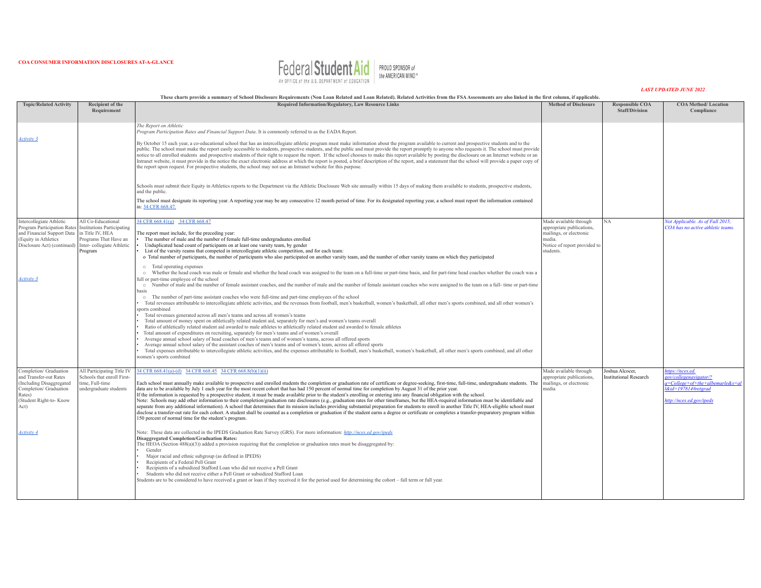

|                                                                                                                                                                         |                                                                                                                                              | These charts provide a summary of School Disclosure Requirements (Non Loan Related and Loan Related). Related Activities from the FSA Assessments are also linked in the first column, if applicable.                                                                                                                                                                                                                                                                                                                                                                                                                                                                                                                                                                                                                                                                                                                                                                                                                                                                                                                                                                                                                                                                                                                                                                                                                                                                                                                                                                                                                                                                                                                                                                                                                                                                                                                                                                                                                                                                                                                                                                                                                                                                  |                                                                                                                                       |                                                  |                                                                                                                                 |
|-------------------------------------------------------------------------------------------------------------------------------------------------------------------------|----------------------------------------------------------------------------------------------------------------------------------------------|------------------------------------------------------------------------------------------------------------------------------------------------------------------------------------------------------------------------------------------------------------------------------------------------------------------------------------------------------------------------------------------------------------------------------------------------------------------------------------------------------------------------------------------------------------------------------------------------------------------------------------------------------------------------------------------------------------------------------------------------------------------------------------------------------------------------------------------------------------------------------------------------------------------------------------------------------------------------------------------------------------------------------------------------------------------------------------------------------------------------------------------------------------------------------------------------------------------------------------------------------------------------------------------------------------------------------------------------------------------------------------------------------------------------------------------------------------------------------------------------------------------------------------------------------------------------------------------------------------------------------------------------------------------------------------------------------------------------------------------------------------------------------------------------------------------------------------------------------------------------------------------------------------------------------------------------------------------------------------------------------------------------------------------------------------------------------------------------------------------------------------------------------------------------------------------------------------------------------------------------------------------------|---------------------------------------------------------------------------------------------------------------------------------------|--------------------------------------------------|---------------------------------------------------------------------------------------------------------------------------------|
| <b>Topic/Related Activity</b>                                                                                                                                           | Recipient of the<br>Requirement                                                                                                              | <b>Required Information/Regulatory, Law Resource Links</b>                                                                                                                                                                                                                                                                                                                                                                                                                                                                                                                                                                                                                                                                                                                                                                                                                                                                                                                                                                                                                                                                                                                                                                                                                                                                                                                                                                                                                                                                                                                                                                                                                                                                                                                                                                                                                                                                                                                                                                                                                                                                                                                                                                                                             | <b>Method of Disclosure</b>                                                                                                           | <b>Responsible COA</b><br><b>Staff/Division</b>  | <b>COA Method/Location</b><br>Compliance                                                                                        |
| <b>Activity 3</b>                                                                                                                                                       |                                                                                                                                              | The Report on Athletic<br>Program Participation Rates and Financial Support Data. It is commonly referred to as the EADA Report.<br>By October 15 each year, a co-educational school that has an intercollegiate athletic program must make information about the program available to current and prospective students and to the<br>public. The school must make the report easily accessible to students, prospective students, and the public and must provide the report promptly to anyone who requests it. The school must provide<br>notice to all enrolled students and prospective students of their right to request the report. If the school chooses to make this report available by posting the disclosure on an Internet website or an<br>Intranet website, it must provide in the notice the exact electronic address at which the report is posted, a brief description of the report, and a statement that the school will provide a paper copy of<br>the report upon request. For prospective students, the school may not use an Intranet website for this purpose.                                                                                                                                                                                                                                                                                                                                                                                                                                                                                                                                                                                                                                                                                                                                                                                                                                                                                                                                                                                                                                                                                                                                                                               |                                                                                                                                       |                                                  |                                                                                                                                 |
|                                                                                                                                                                         |                                                                                                                                              | Schools must submit their Equity in Athletics reports to the Department via the Athletic Disclosure Web site annually within 15 days of making them available to students, prospective students,<br>and the public.<br>The school must designate its reporting year. A reporting year may be any consecutive 12 month period of time. For its designated reporting year, a school must report the information contained<br>in: 34 CFR 668.47.                                                                                                                                                                                                                                                                                                                                                                                                                                                                                                                                                                                                                                                                                                                                                                                                                                                                                                                                                                                                                                                                                                                                                                                                                                                                                                                                                                                                                                                                                                                                                                                                                                                                                                                                                                                                                          |                                                                                                                                       |                                                  |                                                                                                                                 |
| Intercollegiate Athletic<br>Program Participation Rates<br>and Financial Support Data<br>(Equity in Athletics<br>Disclosure Act) (continued)<br><b>Activity 3</b>       | All Co-Educational<br><b>Institutions Participating</b><br>in Title IV, HEA<br>Programs That Have an<br>Inter-collegiate Athletic<br>Program | 34 CFR 668.41(g) 34 CFR 668.47<br>The report must include, for the preceding year:<br>The number of male and the number of female full-time undergraduates enrolled<br>Unduplicated head count of participants on at least one varsity team, by gender<br>List of the varsity reams that competed in intercollegiate athletic competition, and for each team:<br>o Total number of participants, the number of participants who also participated on another varsity team, and the number of other varsity teams on which they participated<br>o Total operating expenses<br>o Whether the head coach was male or female and whether the head coach was assigned to the team on a full-time or part-time basis, and for part-time head coaches whether the coach was a<br>ull or part-time employee of the school<br>o Number of male and the number of female assistant coaches, and the number of male and the number of female assistant coaches who were assigned to the team on a full- time or part-time<br>basis<br>o The number of part-time assistant coaches who were full-time and part-time employees of the school<br>Total revenues attributable to intercollegiate athletic activities, and the revenues from football, men's basketball, women's basketball, all other men's sports combined, and all other women's<br>ports combined<br>Total revenues generated across all men's teams and across all women's teams<br>Total amount of money spent on athletically related student aid, separately for men's and women's teams overall<br>Ratio of athletically related student aid awarded to male athletes to athletically related student aid awarded to female athletes<br>Total amount of expenditures on recruiting, separately for men's teams and of women's overall<br>Average annual school salary of head coaches of men's teams and of women's teams, across all offered sports<br>Average annual school salary of the assistant coaches of men's teams and of women's team, across all offered sports<br>Total expenses attributable to intercollegiate athletic activities, and the expenses attributable to football, men's basketball, women's basketball, all other men's sports combined, and all other<br>vomen's sports combined | Made available through<br>appropriate publications,<br>mailings, or electronic<br>media.<br>Notice of report provided to<br>students. | NА                                               | Not Applicable. As of Fall 2015,<br>COA has no active athletic teams.                                                           |
| Completion/ Graduation<br>and Transfer-out Rates<br>(Including Disaggregated<br>Completion/ Graduation<br>Rates)<br>Student Right-to- Know<br>Act)<br><b>Activity 4</b> | All Participating Title IV<br>Schools that enroll First-<br>time, Full-time<br>undergraduate students                                        | 34 CFR 668.41(a)-(d) 34 CFR 668.45 34 CFR 668.8(b)(1)(ii)<br>Each school must annually make available to prospective and enrolled students the completion or graduation rate of certificate or degree-seeking, first-time, full-time, undergraduate students. The<br>data are to be available by July 1 each year for the most recent cohort that has had 150 percent of normal time for completion by August 31 of the prior year.<br>If the information is requested by a prospective student, it must be made available prior to the student's enrolling or entering into any financial obligation with the school.<br>Note: Schools may add other information to their completion/graduation rate disclosures (e.g., graduation rates for other timeframes, but the HEA-required information must be identifiable and<br>separate from any additional information). A school that determines that its mission includes providing substantial preparation for students to enroll in another Title IV, HEA-eligible school must<br>disclose a transfer-out rate for each cohort. A student shall be counted as a completion or graduation if the student earns a degree or certificate or completes a transfer-preparatory program within<br>150 percent of normal time for the student's program.<br>Note: These data are collected in the IPEDS Graduation Rate Survey (GRS). For more information: http://nces.ed.gov/ipeds<br><b>Disaggregated Completion/Graduation Rates:</b><br>The HEOA (Section $488(a)(3)$ ) added a provision requiring that the completion or graduation rates must be disaggregated by:<br>Gender<br>Major racial and ethnic subgroup (as defined in IPEDS)<br>Recipients of a Federal Pell Grant<br>Recipients of a subsidized Stafford Loan who did not receive a Pell Grant<br>Students who did not receive either a Pell Grant or subsidized Stafford Loan<br>Students are to be considered to have received a grant or loan if they received it for the period used for determining the cohort - fall term or full year.                                                                                                                                                                                                           | Made available through<br>appropriate publications,<br>mailings, or electronic<br>media                                               | Joshua Alcocer,<br><b>Institutional Research</b> | https://nces.ed.<br>gov/collegenavigator/?<br>q=College+of+the+albemarle&s=al<br>&id=197814#retgrad<br>http://nces.ed.gov/ipeds |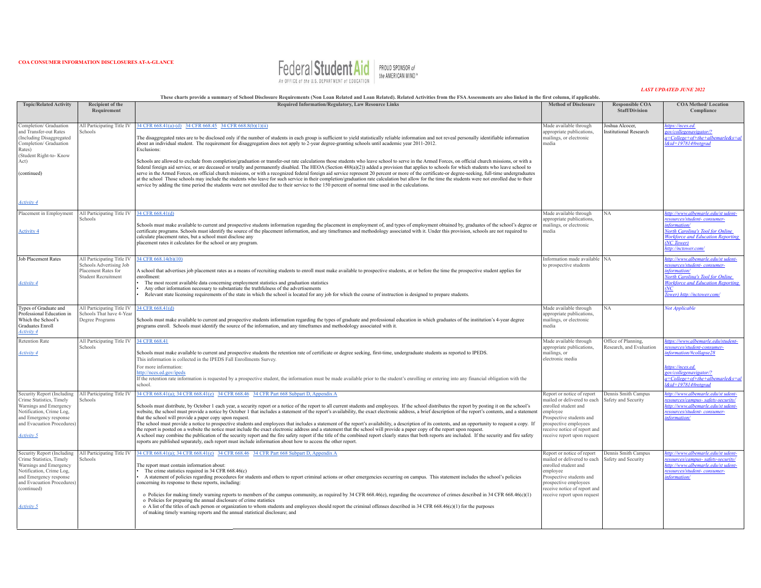

|                                                                                                                                                                                                   |                                                                                                            | These charts provide a summary of School Disclosure Requirements (Non Loan Related and Loan Related). Related Activities from the FSA Assessments are also linked in the first column, if applicable                                                                                                                                                                                                                                                                                                                                                                                                                                                                                                                                                                                                                                                                                                                                                                                                                                                                                                                                                                                                                                                                                                                                                                                                           |                                                                                                                                                                                                                   |                                                  |                                                                                                                                                                                                   |
|---------------------------------------------------------------------------------------------------------------------------------------------------------------------------------------------------|------------------------------------------------------------------------------------------------------------|----------------------------------------------------------------------------------------------------------------------------------------------------------------------------------------------------------------------------------------------------------------------------------------------------------------------------------------------------------------------------------------------------------------------------------------------------------------------------------------------------------------------------------------------------------------------------------------------------------------------------------------------------------------------------------------------------------------------------------------------------------------------------------------------------------------------------------------------------------------------------------------------------------------------------------------------------------------------------------------------------------------------------------------------------------------------------------------------------------------------------------------------------------------------------------------------------------------------------------------------------------------------------------------------------------------------------------------------------------------------------------------------------------------|-------------------------------------------------------------------------------------------------------------------------------------------------------------------------------------------------------------------|--------------------------------------------------|---------------------------------------------------------------------------------------------------------------------------------------------------------------------------------------------------|
| <b>Topic/Related Activity</b>                                                                                                                                                                     | Recipient of the<br>Requirement                                                                            | Required Information/Regulatory, Law Resource Links                                                                                                                                                                                                                                                                                                                                                                                                                                                                                                                                                                                                                                                                                                                                                                                                                                                                                                                                                                                                                                                                                                                                                                                                                                                                                                                                                            | <b>Method of Disclosure</b>                                                                                                                                                                                       | <b>Responsible COA</b><br><b>Staff/Division</b>  | <b>COA Method/ Location</b><br>Compliance                                                                                                                                                         |
| Completion/ Graduation<br>and Transfer-out Rates<br>(Including Disaggregated<br>Completion/ Graduation<br>Rates)<br>(Student Right-to-Know<br>Act)<br>(continued)<br><b>Activity 4</b>            | All Participating Title IV<br>Schools                                                                      | 34 CFR 668.41(a)-(d) 34 CFR 668.45 34 CFR 668.8(b)(1)(ii)<br>The disaggregated rates are to be disclosed only if the number of students in each group is sufficient to yield statistically reliable information and not reveal personally identifiable information<br>about an individual student. The requirement for disaggregation does not apply to 2-year degree-granting schools until academic year 2011-2012.<br>Exclusions:<br>Schools are allowed to exclude from completion/graduation or transfer-out rate calculations those students who leave school to serve in the Armed Forces, on official church missions, or with a<br>federal foreign aid service, or are deceased or totally and permanently disabled. The HEOA (Section 488(a)(2)) added a provision that applies to schools for which students who leave school to<br>serve in the Armed Forces, on official church missions, or with a recognized federal foreign aid service represent 20 percent or more of the certificate-or degree-seeking, full-time undergraduates<br>at the school Those schools may include the students who leave for such service in their completion/graduation rate calculation but allow for the time the students were not enrolled due to their<br>service by adding the time period the students were not enrolled due to their service to the 150 percent of normal time used in the calculations. | Made available through<br>appropriate publications,<br>mailings, or electronic<br>media                                                                                                                           | Joshua Alcocer,<br><b>Institutional Research</b> | ittps://nces.ed.<br>rov/collegenavigator/?<br>$=$ College+of+the+albemarle&s=a<br>&id=197814#retgrad                                                                                              |
| Placement in Employment                                                                                                                                                                           | All Participating Title IV                                                                                 | 34 CFR 668.41(d)                                                                                                                                                                                                                                                                                                                                                                                                                                                                                                                                                                                                                                                                                                                                                                                                                                                                                                                                                                                                                                                                                                                                                                                                                                                                                                                                                                                               | Made available through                                                                                                                                                                                            | N <sub>A</sub>                                   | ittp://www.albemarle.edu/st udent-                                                                                                                                                                |
| <b>Activity 4</b>                                                                                                                                                                                 | Schools                                                                                                    | Schools must make available to current and prospective students information regarding the placement in employment of, and types of employment obtained by, graduates of the school's degree or<br>certificate programs. Schools must identify the source of the placement information, and any timeframes and methodology associated with it. Under this provision, schools are not required to<br>calculate placement rates, but a school must disclose any<br>placement rates it calculates for the school or any program.                                                                                                                                                                                                                                                                                                                                                                                                                                                                                                                                                                                                                                                                                                                                                                                                                                                                                   | appropriate publications,<br>mailings, or electronic<br>media                                                                                                                                                     |                                                  | resources/student-consumer-<br>nformation/<br><b>North Carolina's Tool for Online</b><br><b>Workforce and Education Reporting</b><br><b>NC</b> Tower)<br>ttp://nctower.com/                       |
| <b>Job Placement Rates</b><br>Activity 4                                                                                                                                                          | All Participating Title IV<br>Schools Advertising Job<br>Placement Rates for<br><b>Student Recruitment</b> | 34 CFR 668.14(b)(10)<br>A school that advertises job placement rates as a means of recruiting students to enroll must make available to prospective students, at or before the time the prospective student applies for<br>enrollment:<br>The most recent available data concerning employment statistics and graduation statistics                                                                                                                                                                                                                                                                                                                                                                                                                                                                                                                                                                                                                                                                                                                                                                                                                                                                                                                                                                                                                                                                            | Information made available NA<br>to prospective students                                                                                                                                                          |                                                  | ttp://www.albemarle.edu/st udent-<br>resources/student-consumer-<br>nformation/<br><b>North Carolina's Tool for Online</b><br><b>Workforce and Education Reporting</b>                            |
|                                                                                                                                                                                                   |                                                                                                            | Any other information necessary to substantiate the truthfulness of the advertisements<br>Relevant state licensing requirements of the state in which the school is located for any job for which the course of instruction is designed to prepare students.                                                                                                                                                                                                                                                                                                                                                                                                                                                                                                                                                                                                                                                                                                                                                                                                                                                                                                                                                                                                                                                                                                                                                   |                                                                                                                                                                                                                   |                                                  | NС<br>Tower) http://nctower.com/                                                                                                                                                                  |
| Types of Graduate and<br>Professional Education in<br>Which the School's<br><b>Graduates Enroll</b><br>Activity 4                                                                                 | All Participating Title IV<br>Schools That have 4-Year<br>Degree Programs                                  | 34 CFR 668.41(d)<br>Schools must make available to current and prospective students information regarding the types of graduate and professional education in which graduates of the institution's 4-year degree<br>programs enroll. Schools must identify the source of the information, and any timeframes and methodology associated with it.                                                                                                                                                                                                                                                                                                                                                                                                                                                                                                                                                                                                                                                                                                                                                                                                                                                                                                                                                                                                                                                               | Made available through<br>appropriate publications,<br>mailings, or electronic<br>media                                                                                                                           | <b>NA</b>                                        | Not Applicable                                                                                                                                                                                    |
| <b>Retention Rate</b><br><b>Activity 4</b>                                                                                                                                                        | All Participating Title IV<br>Schools                                                                      | 34 CFR 668.41<br>Schools must make available to current and prospective students the retention rate of certificate or degree seeking, first-time, undergraduate students as reported to IPEDS.<br>This information is collected in the IPEDS Fall Enrollments Survey.<br>For more information:<br>http://nces.ed.gov/ipeds<br>If the retention rate information is requested by a prospective student, the information must be made available prior to the student's enrolling or entering into any financial obligation with the<br>school.                                                                                                                                                                                                                                                                                                                                                                                                                                                                                                                                                                                                                                                                                                                                                                                                                                                                   | Made available through<br>appropriate publications,<br>mailings, or<br>electronic media                                                                                                                           | Office of Planning,<br>Research, and Evaluation  | ittps://www.albemarle.edu/student-<br>resources/student-consumer-<br>nformation/#collapse28<br>ttps://nces.ed.<br>gov/collegenavigator/?<br>q=College+of+the+albemarle&s=al<br>&id=197814#retgrad |
| Security Report (Including<br>Crime Statistics, Timely<br>Warnings and Emergency<br>Notification, Crime Log,<br>and Emergency response<br>and Evacuation Procedures)<br><b>Activity 5</b>         | All Participating Title IV<br>Schools                                                                      | 34 CFR 668.41(a): 34 CFR 668.41(e) 34 CFR 668.46 34 CFR Part 668 Subpart D, Appendix A<br>Schools must distribute, by October 1 each year, a security report or a notice of the report to all current students and employees. If the school distributes the report by posting it on the school's<br>website, the school must provide a notice by October 1 that includes a statement of the report's availability, the exact electronic address, a brief description of the report's contents, and a statement<br>that the school will provide a paper copy upon request.<br>The school must provide a notice to prospective students and employees that includes a statement of the report's availability, a description of its contents, and an opportunity to request a copy. If<br>the report is posted on a website the notice must include the exact electronic address and a statement that the school will provide a paper copy of the report upon request.<br>A school may combine the publication of the security report and the fire safety report if the title of the combined report clearly states that both reports are included. If the security and fire safety<br>reports are published separately, each report must include information about how to access the other report.                                                                                                               | Report or notice of report<br>mailed or delivered to each<br>enrolled student and<br>employee<br>rospective students and<br>prospective employees<br>eceive notice of report and<br>receive report upon request   | Dennis Smith Campus<br>Safety and Security       | ttp://www.albemarle.edu/st_udent-<br>esources/campus-safety-security/<br>ittp://www.albemarle.edu/st udent-<br>resources/student-consumer-<br>nformation/                                         |
| Security Report (Including<br>Crime Statistics, Timely<br>Warnings and Emergency<br>Notification, Crime Log,<br>and Emergency response<br>and Evacuation Procedures)<br>(continued)<br>Activity 5 | All Participating Title IV<br>Schools                                                                      | 34 CFR 668.41(a); 34 CFR 668.41(e) 34 CFR 668.46 34 CFR Part 668 Subpart D, Appendix A<br>The report must contain information about:<br>The crime statistics required in 34 CFR 668.46(c)<br>A statement of policies regarding procedures for students and others to report criminal actions or other emergencies occurring on campus. This statement includes the school's policies<br>concerning its response to these reports, including:<br>o Policies for making timely warning reports to members of the campus community, as required by 34 CFR 668.46(e), regarding the occurrence of crimes described in 34 CFR 668.46(c)(1)<br>o Policies for preparing the annual disclosure of crime statistics<br>o A list of the titles of each person or organization to whom students and employees should report the criminal offenses described in 34 CFR 668.46(c)(1) for the purposes<br>of making timely warning reports and the annual statistical disclosure; and                                                                                                                                                                                                                                                                                                                                                                                                                                       | Report or notice of report<br>mailed or delivered to each<br>enrolled student and<br>employee<br>Prospective students and<br>prospective employees<br>receive notice of report and<br>receive report upon request | Dennis Smith Campus<br>Safety and Security       | ittp://www.albemarle.edu/st udent-<br>esources/campus-safety-security/<br>ttp://www.albemarle.edu/st udent-<br>resources/student-consumer-<br>nformation/                                         |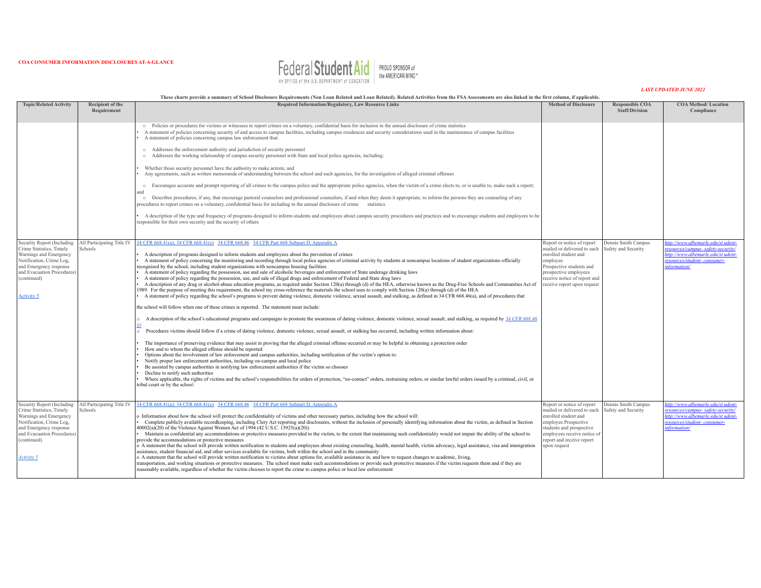

|                                                                                                                                                                                                          |                                        | These charts provide a summary of School Disclosure Requirements (Non Loan Related and Loan Related). Related Activities from the FSA Assessments are also linked in the first column, if applicable.                                                                                                                                                                                                                                                                                                                                                                                                                                                                                                                                                                                                                                                                                                                                                                                                                                                                                                                                                                                                                                                                                                                                                                                                                                                                                                                                                                                                                                                                                                                                                                                                                                                                                                                                                                                                                                                                                                                                                                                                                                                                                                                                                                                                                                                                                                                                                                                                                                                                                                                                                                                                                                                                                                                                                                                                                                                                                                                                                                                                                                                                                                                                                                                                                                                                                                                                                                                                                                                                                                                                                                                                                                                                                                                                                                                                                                                                                                                                                                                                                                                                                                                                       |                                                                                                                                                                                                                   |                                                 |                                                                                                                                                              |
|----------------------------------------------------------------------------------------------------------------------------------------------------------------------------------------------------------|----------------------------------------|---------------------------------------------------------------------------------------------------------------------------------------------------------------------------------------------------------------------------------------------------------------------------------------------------------------------------------------------------------------------------------------------------------------------------------------------------------------------------------------------------------------------------------------------------------------------------------------------------------------------------------------------------------------------------------------------------------------------------------------------------------------------------------------------------------------------------------------------------------------------------------------------------------------------------------------------------------------------------------------------------------------------------------------------------------------------------------------------------------------------------------------------------------------------------------------------------------------------------------------------------------------------------------------------------------------------------------------------------------------------------------------------------------------------------------------------------------------------------------------------------------------------------------------------------------------------------------------------------------------------------------------------------------------------------------------------------------------------------------------------------------------------------------------------------------------------------------------------------------------------------------------------------------------------------------------------------------------------------------------------------------------------------------------------------------------------------------------------------------------------------------------------------------------------------------------------------------------------------------------------------------------------------------------------------------------------------------------------------------------------------------------------------------------------------------------------------------------------------------------------------------------------------------------------------------------------------------------------------------------------------------------------------------------------------------------------------------------------------------------------------------------------------------------------------------------------------------------------------------------------------------------------------------------------------------------------------------------------------------------------------------------------------------------------------------------------------------------------------------------------------------------------------------------------------------------------------------------------------------------------------------------------------------------------------------------------------------------------------------------------------------------------------------------------------------------------------------------------------------------------------------------------------------------------------------------------------------------------------------------------------------------------------------------------------------------------------------------------------------------------------------------------------------------------------------------------------------------------------------------------------------------------------------------------------------------------------------------------------------------------------------------------------------------------------------------------------------------------------------------------------------------------------------------------------------------------------------------------------------------------------------------------------------------------------------------------------------------------|-------------------------------------------------------------------------------------------------------------------------------------------------------------------------------------------------------------------|-------------------------------------------------|--------------------------------------------------------------------------------------------------------------------------------------------------------------|
| <b>Topic/Related Activity</b>                                                                                                                                                                            | <b>Recipient of the</b><br>Requirement | <b>Required Information/Regulatory, Law Resource Links</b>                                                                                                                                                                                                                                                                                                                                                                                                                                                                                                                                                                                                                                                                                                                                                                                                                                                                                                                                                                                                                                                                                                                                                                                                                                                                                                                                                                                                                                                                                                                                                                                                                                                                                                                                                                                                                                                                                                                                                                                                                                                                                                                                                                                                                                                                                                                                                                                                                                                                                                                                                                                                                                                                                                                                                                                                                                                                                                                                                                                                                                                                                                                                                                                                                                                                                                                                                                                                                                                                                                                                                                                                                                                                                                                                                                                                                                                                                                                                                                                                                                                                                                                                                                                                                                                                                  | <b>Method of Disclosure</b>                                                                                                                                                                                       | <b>Responsible COA</b><br><b>Staff/Division</b> | <b>COA Method/Location</b><br>Compliance                                                                                                                     |
| Security Report (Including<br>Crime Statistics, Timely<br>Warnings and Emergency<br>Notification, Crime Log,<br>and Emergency response<br>and Evacuation Procedures)<br>(continued)<br><b>Activity 5</b> | All Participating Title IV<br>Schools  | o Policies or procedures for victims or witnesses to report crimes on a voluntary, confidential basis for inclusion in the annual disclosure of crime statistics<br>A statement of policies concerning security of and access to campus facilities, including campus residences and security considerations used in the maintenance of campus facilities<br>A statement of policies concerning campus law enforcement that:<br>o Addresses the enforcement authority and jurisdiction of security personnel<br>o Addresses the working relationship of campus security personnel with State and local police agencies, including:<br>Whether those security personnel have the authority to make arrests; and<br>Any agreements, such as written memoranda of understanding between the school and such agencies, for the investigation of alleged criminal offenses<br>Encourages accurate and prompt reporting of all crimes to the campus police and the appropriate police agencies, when the victim of a crime elects to, or is unable to, make such a report;<br>$\circ$<br>and<br>Describes procedures, if any, that encourage pastoral counselors and professional counselors, if and when they deem it appropriate, to inform the persons they are counseling of any<br>$\circ$<br>procedures to report crimes on a voluntary, confidential basis for including in the annual disclosure of crime statistics<br>A description of the type and frequency of programs designed to inform students and employees about campus security procedures and practices and to encourage students and employees to be<br>responsible for their own security and the security of others<br>34 CFR 668.41(a); 34 CFR 668.41(e) 34 CFR 668.46 34 CFR Part 668 Subpart D, Appendix A<br>A description of programs designed to inform students and employees about the prevention of crimes<br>A statement of policy concerning the monitoring and recording through local police agencies of criminal activity by students at noncampus locations of student organizations officially<br>recognized by the school, including student organizations with noncampus housing facilities<br>A statement of policy regarding the possession, use and sale of alcoholic beverages and enforcement of State underage drinking laws<br>A statement of policy regarding the possession, use, and sale of illegal drugs and enforcement of Federal and State drug laws<br>A description of any drug or alcohol-abuse education programs, as required under Section 120(a) through (d) of the HEA, otherwise known as the Drug-Free Schools and Communities Act of<br>1989. For the purpose of meeting this requirement, the school my cross-reference the materials the school uses to comply with Section 120(a) through (d) of the HEA<br>A statement of policy regarding the school's programs to prevent dating violence, domestic violence, sexual assault, and stalking, as defined in 34 CFR 668.46(a), and of procedures that<br>the school will follow when one of these crimes is reported. The statement must include:<br>A description of the school's educational programs and campaigns to promote the awareness of dating violence, domestic violence, sexual assault, and stalking, as required by 34 CFR 668.46<br>l o<br>۱û<br>Iо<br>Procedures victims should follow if a crime of dating violence, domestic violence, sexual assault, or stalking has occurred, including written information about:<br>The importance of preserving evidence that may assist in proving that the alleged criminal offense occurred or may be helpful in obtaining a protection order<br>How and to whom the alleged offense should be reported<br>Options about the involvement of law enforcement and campus authorities, including notification of the victim's option to:<br>Notify proper law enforcement authorities, including on-campus and local police<br>Be assisted by campus authorities in notifying law enforcement authorities if the victim so chooses<br>Decline to notify such authorities<br>Where applicable, the rights of victims and the school's responsibilities for orders of protection, "no-contact" orders, restraining orders, or similar lawful orders issued by a criminal, civil, or<br>tribal court or by the school | Report or notice of report<br>mailed or delivered to each<br>enrolled student and<br>employee<br>Prospective students and<br>prospective employees<br>receive notice of report and<br>receive report upon request | Dennis Smith Campus<br>Safety and Security      | http://www.albemarle.edu/st udent-<br>resources/campus-safety-security/<br>http://www.albemarle.edu/st_udent-<br>resources/student-consumer-<br>information/ |
| Security Report (Including<br>Crime Statistics, Timely<br>Warnings and Emergency<br>Notification, Crime Log,<br>and Emergency response<br>and Evacuation Procedures<br>(continued)<br>Activity 5         | All Participating Title IV<br>Schools  | 34 CFR 668.41(a); 34 CFR 668.41(e) 34 CFR 668.46 34 CFR Part 668 Subpart D, Appendix A<br>o Information about how the school will protect the confidentiality of victims and other necessary parties, including how the school will:<br>Complete publicly available recordkeeping, including Clery Act reporting and disclosures, without the inclusion of personally identifying information about the victim, as defined in Section<br>40002(a)(20) of the Violence Against Women Act of 1994 (42 U.S.C. 13925(a)(20))<br>Maintain as confidential any accommodations or protective measures provided to the victim, to the extent that maintaining such confidentiality would not impair the ability of the school to<br>provide the accommodations or protective measures<br>o A statement that the school will provide written notification to students and employees about existing counseling, health, mental health, victim advocacy, legal assistance, visa and immigration<br>assistance, student financial aid, and other services available for victims, both within the school and in the community<br>o A statement that the school will provide written notification to victims about options for, available assistance in, and how to request changes to academic, living,<br>transportation, and working situations or protective measures. The school must make such accommodations or provide such protective measures if the victim requests them and if they are<br>reasonably available, regardless of whether the victim chooses to report the crime to campus police or local law enforcement                                                                                                                                                                                                                                                                                                                                                                                                                                                                                                                                                                                                                                                                                                                                                                                                                                                                                                                                                                                                                                                                                                                                                                                                                                                                                                                                                                                                                                                                                                                                                                                                                                                                                                                                                                                                                                                                                                                                                                                                                                                                                                                                                                                                                                                                                                                                                                                                                                                                                                                                                                                                                                                                                                                       | Report or notice of report<br>mailed or delivered to each<br>enrolled student and<br>employee Prospective<br>students and prospective<br>employees receive notice of<br>report and receive report<br>upon request | Dennis Smith Campus<br>Safety and Security      | http://www.albemarle.edu/st udent-<br>resources/campus-safety-security/<br>http://www.albemarle.edu/st udent-<br>resources/student-consumer-<br>information/ |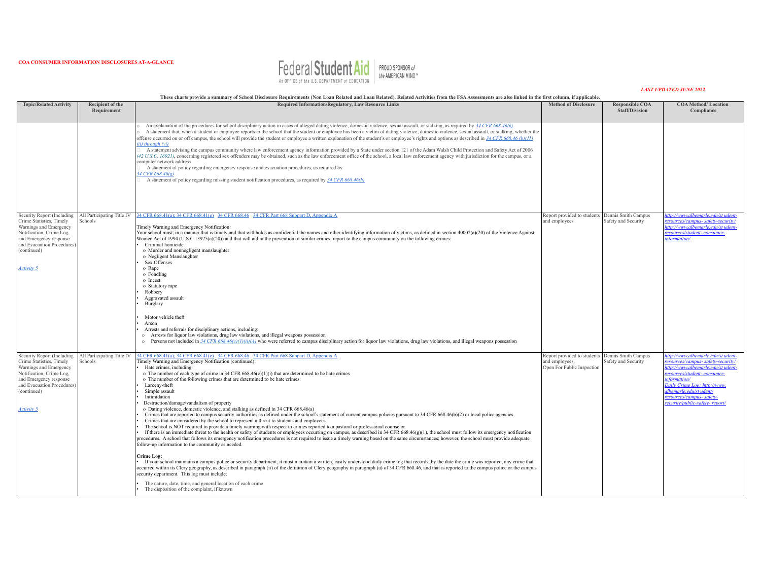

|                                                                                                                                                                                                   |                                       |                                                                                                                                                                                                                                                                                                                                                                                                                                                                                                                                                                                                                                                                                                                                                                                                                                                                                                                                                                                                                                                                                                                                                                                                                                                                                                                                                                                                                                                                                                                                                                                                                                                                                                                                                                                                                                                                                                                                                                                                                         |                                                                                                 |                                                 | <b>LAST UPDATED JUNE 2022</b>                                                                                                                                                                                                                                                         |
|---------------------------------------------------------------------------------------------------------------------------------------------------------------------------------------------------|---------------------------------------|-------------------------------------------------------------------------------------------------------------------------------------------------------------------------------------------------------------------------------------------------------------------------------------------------------------------------------------------------------------------------------------------------------------------------------------------------------------------------------------------------------------------------------------------------------------------------------------------------------------------------------------------------------------------------------------------------------------------------------------------------------------------------------------------------------------------------------------------------------------------------------------------------------------------------------------------------------------------------------------------------------------------------------------------------------------------------------------------------------------------------------------------------------------------------------------------------------------------------------------------------------------------------------------------------------------------------------------------------------------------------------------------------------------------------------------------------------------------------------------------------------------------------------------------------------------------------------------------------------------------------------------------------------------------------------------------------------------------------------------------------------------------------------------------------------------------------------------------------------------------------------------------------------------------------------------------------------------------------------------------------------------------------|-------------------------------------------------------------------------------------------------|-------------------------------------------------|---------------------------------------------------------------------------------------------------------------------------------------------------------------------------------------------------------------------------------------------------------------------------------------|
| <b>Topic/Related Activity</b>                                                                                                                                                                     | Recipient of the<br>Requirement       | These charts provide a summary of School Disclosure Requirements (Non Loan Related and Loan Related). Related Activities from the FSA Assessments are also linked in the first column, if applicable.<br><b>Required Information/Regulatory, Law Resource Links</b>                                                                                                                                                                                                                                                                                                                                                                                                                                                                                                                                                                                                                                                                                                                                                                                                                                                                                                                                                                                                                                                                                                                                                                                                                                                                                                                                                                                                                                                                                                                                                                                                                                                                                                                                                     | <b>Method of Disclosure</b>                                                                     | <b>Responsible COA</b><br><b>Staff/Division</b> | <b>COA Method/Location</b><br>Compliance                                                                                                                                                                                                                                              |
|                                                                                                                                                                                                   |                                       | An explanation of the procedures for school disciplinary action in cases of alleged dating violence, domestic violence, sexual assault, or stalking, as required by 34 CFR 668.46(k)<br>A statement that, when a student or employee reports to the school that the student or employee has been a victim of dating violence, domestic violence, sexual assault, or stalking, whether the<br>offense occurred on or off campus, the school will provide the student or employee a written explanation of the student's or employee's rights and options as described in $\frac{34 \text{ CFR } 668.46 \text{ (b)}(11)}{24 \text{ CFR } 668.46 \text{ (b$<br>(ii) through (vi)<br>A statement advising the campus community where law enforcement agency information provided by a State under section 121 of the Adam Walsh Child Protection and Safety Act of 2006<br>(42 U.S.C. 16921), concerning registered sex offenders may be obtained, such as the law enforcement office of the school, a local law enforcement agency with jurisdiction for the campus, or a<br>computer network address<br>A statement of policy regarding emergency response and evacuation procedures, as required by<br>34 CFR 668.46(g)<br>A statement of policy regarding missing student notification procedures, as required by 34 CFR 668.46(h)                                                                                                                                                                                                                                                                                                                                                                                                                                                                                                                                                                                                                                                                                      |                                                                                                 |                                                 |                                                                                                                                                                                                                                                                                       |
| Security Report (Including<br>Crime Statistics, Timely<br>Warnings and Emergency<br>Notification, Crime Log,<br>and Emergency response<br>and Evacuation Procedures)<br>(continued)<br>Activity 5 | All Participating Title IV<br>Schools | 34 CFR 668.41(a); 34 CFR 668.41(e) 34 CFR 668.46 34 CFR Part 668 Subpart D, Appendix A<br>Timely Warning and Emergency Notification:<br>Your school must, in a manner that is timely and that withholds as confidential the names and other identifying information of victims, as defined in section 40002(a)(20) of the Violence Against<br>Women Act of 1994 (U.S.C.13925(a)(20)) and that will aid in the prevention of similar crimes, report to the campus community on the following crimes:<br>Criminal homicide<br>o Murder and nonnegligent manslaughter<br>o Negligent Manslaughter<br>Sex Offenses<br>o Rape<br>o Fondling<br>o Incest<br>o Statutory rape<br>Robbery<br>Aggravated assault<br>Burglary<br>Motor vehicle theft<br>Arson<br>Arrests and referrals for disciplinary actions, including:<br>o Arrests for liquor law violations, drug law violations, and illegal weapons possession<br>$\circ$ Persons not included in 34 CFR 668.46(c)(1)(ii)(A) who were referred to campus disciplinary action for liquor law violations, drug law violations, and illegal weapons possession                                                                                                                                                                                                                                                                                                                                                                                                                                                                                                                                                                                                                                                                                                                                                                                                                                                                                                              | Report provided to students<br>and employees                                                    | Dennis Smith Campus<br>Safety and Security      | ittp://www.albemarle.edu/st_udent-<br>resources/campus-safety-security<br>http://www.albemarle.edu/st udent<br>resources/student-consumer-<br>information/                                                                                                                            |
| Security Report (Including<br>Crime Statistics. Timely<br>Warnings and Emergency<br>Notification, Crime Log,<br>and Emergency response<br>and Evacuation Procedures)<br>(continued)<br>Activity 5 | All Participating Title IV<br>Schools | 34 CFR 668.41(a); 34 CFR 668.41(e) 34 CFR 668.46 34 CFR Part 668 Subpart D, Appendix A<br>Timely Warning and Emergency Notification (continued):<br>Hate crimes, including:<br>o The number of each type of crime in 34 CFR $668.46(c)(1)(i)$ that are determined to be hate crimes<br>o The number of the following crimes that are determined to be hate crimes:<br>Larceny-theft<br>Simple assault<br>Intimidation<br>Destruction/damage/vandalism of property<br>o Dating violence, domestic violence, and stalking as defined in 34 CFR 668.46(a)<br>Crimes that are reported to campus security authorities as defined under the school's statement of current campus policies pursuant to 34 CFR 668.46(b)(2) or local police agencies<br>Crimes that are considered by the school to represent a threat to students and employees<br>The school is NOT required to provide a timely warning with respect to crimes reported to a pastoral or professional counselor<br>If there is an immediate threat to the health or safety of students or employees occurring on campus, as described in 34 CFR 668.46( $g$ )(1), the school must follow its emergency notification<br>procedures. A school that follows its emergency notification procedures is not required to issue a timely warning based on the same circumstances; however, the school must provide adequate<br>follow-up information to the community as needed.<br>Crime Log:<br>If your school maintains a campus police or security department, it must maintain a written, easily understood daily crime log that records, by the date the crime was reported, any crime that<br>occurred within its Clery geography, as described in paragraph (ii) of the definition of Clery geography in paragraph (a) of 34 CFR 668.46, and that is reported to the campus police or the campus<br>security department. This log must include:<br>The nature, date, time, and general location of each crime<br>The disposition of the complaint, if known | Report provided to students Dennis Smith Campus<br>and employees.<br>Open For Public Inspection | Safety and Security                             | http://www.albemarle.edu/st udent-<br>resources/campus-safety-security/<br>http://www.albemarle.edu/st_udent-<br>resources/student-consumer-<br>information/<br>Daily Crime Log: http://www.<br>albemarle.edu/st udent-<br>resources/campus-safety-<br>security/public-safety-report/ |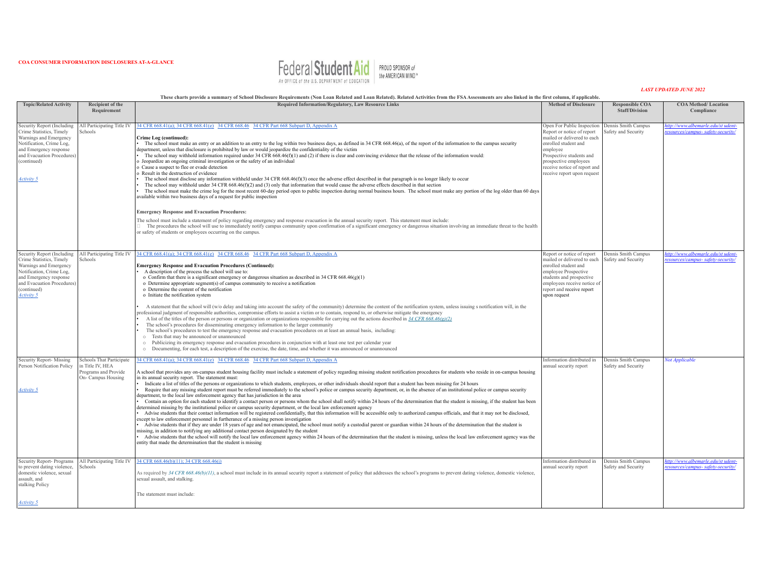

| These charts provide a summary of School Disclosure Requirements (Non Loan Related and Loan Related). Related Activities from the FSA Assessments are also linked in the first column, if applicable.    |                                                                                            |                                                                                                                                                                                                                                                                                                                                                                                                                                                                                                                                                                                                                                                                                                                                                                                                                                                                                                                                                                                                                                                                                                                                                                                                                                                                                                                                                                                                                                                                                                                                                                                                                                                                                                                                                                                                                                                                                                                                                                                                      |                                                                                                                                                                                                                                                 |                                                 |                                                                         |  |
|----------------------------------------------------------------------------------------------------------------------------------------------------------------------------------------------------------|--------------------------------------------------------------------------------------------|------------------------------------------------------------------------------------------------------------------------------------------------------------------------------------------------------------------------------------------------------------------------------------------------------------------------------------------------------------------------------------------------------------------------------------------------------------------------------------------------------------------------------------------------------------------------------------------------------------------------------------------------------------------------------------------------------------------------------------------------------------------------------------------------------------------------------------------------------------------------------------------------------------------------------------------------------------------------------------------------------------------------------------------------------------------------------------------------------------------------------------------------------------------------------------------------------------------------------------------------------------------------------------------------------------------------------------------------------------------------------------------------------------------------------------------------------------------------------------------------------------------------------------------------------------------------------------------------------------------------------------------------------------------------------------------------------------------------------------------------------------------------------------------------------------------------------------------------------------------------------------------------------------------------------------------------------------------------------------------------------|-------------------------------------------------------------------------------------------------------------------------------------------------------------------------------------------------------------------------------------------------|-------------------------------------------------|-------------------------------------------------------------------------|--|
| <b>Topic/Related Activity</b>                                                                                                                                                                            | Recipient of the<br>Requirement                                                            | <b>Required Information/Regulatory, Law Resource Links</b>                                                                                                                                                                                                                                                                                                                                                                                                                                                                                                                                                                                                                                                                                                                                                                                                                                                                                                                                                                                                                                                                                                                                                                                                                                                                                                                                                                                                                                                                                                                                                                                                                                                                                                                                                                                                                                                                                                                                           | <b>Method of Disclosure</b>                                                                                                                                                                                                                     | <b>Responsible COA</b><br><b>Staff/Division</b> | <b>COA Method/ Location</b><br>Compliance                               |  |
| Security Report (Including<br>Crime Statistics, Timely<br>Warnings and Emergency<br>Notification, Crime Log,<br>and Emergency response<br>and Evacuation Procedures)<br>(continued)<br>Activity 5        | All Participating Title IV<br>Schools                                                      | 34 CFR 668.41(a); 34 CFR 668.41(e) 34 CFR 668.46 34 CFR Part 668 Subpart D, Appendix A<br>Crime Log (continued):<br>The school must make an entry or an addition to an entry to the log within two business days, as defined in 34 CFR 668.46(a), of the report of the information to the campus security<br>department, unless that disclosure is prohibited by law or would jeopardize the confidentiality of the victim<br>The school may withhold information required under 34 CFR 668.46(f)(1) and (2) if there is clear and convincing evidence that the release of the information would:<br>Jeopardize an ongoing criminal investigation or the safety of an individual<br>Cause a suspect to flee or evade detection<br>Result in the destruction of evidence<br>The school must disclose any information withheld under $34$ CFR 668.46(f)(3) once the adverse effect described in that paragraph is no longer likely to occur<br>The school may withhold under 34 CFR $668.46(f)(2)$ and (3) only that information that would cause the adverse effects described in that section<br>The school must make the crime log for the most recent 60-day period open to public inspection during normal business hours. The school must make any portion of the log older than 60 days<br>available within two business days of a request for public inspection<br><b>Emergency Response and Evacuation Procedures:</b><br>The school must include a statement of policy regarding emergency and response evacuation in the annual security report. This statement must include:                                                                                                                                                                                                                                                                                                                                                                                                               | Open For Public Inspection<br>Report or notice of report<br>mailed or delivered to each<br>enrolled student and<br>employee<br>Prospective students and<br>prospective employees<br>receive notice of report and<br>receive report upon request | Dennis Smith Campus<br>Safety and Security      | http://www.albemarle.edu/st_udent-<br>resources/campus-safety-security/ |  |
|                                                                                                                                                                                                          |                                                                                            | The procedures the school will use to immediately notify campus community upon confirmation of a significant emergency or dangerous situation involving an immediate threat to the health<br>or safety of students or employees occurring on the campus.                                                                                                                                                                                                                                                                                                                                                                                                                                                                                                                                                                                                                                                                                                                                                                                                                                                                                                                                                                                                                                                                                                                                                                                                                                                                                                                                                                                                                                                                                                                                                                                                                                                                                                                                             |                                                                                                                                                                                                                                                 |                                                 |                                                                         |  |
| Security Report (Including<br>Crime Statistics, Timely<br>Warnings and Emergency<br>Notification, Crime Log,<br>and Emergency response<br>and Evacuation Procedures)<br>(continued)<br><b>Activity 5</b> | All Participating Title IV<br>Schools                                                      | 34 CFR 668.41(a); 34 CFR 668.41(e) 34 CFR 668.46 34 CFR Part 668 Subpart D, Appendix A<br><b>Emergency Response and Evacuation Procedures (Continued):</b><br>A description of the process the school will use to:<br>o Confirm that there is a significant emergency or dangerous situation as described in 34 CFR 668.46(g)(1)<br>o Determine appropriate segment(s) of campus community to receive a notification<br>o Determine the content of the notification<br>o Initiate the notification system<br>A statement that the school will (w/o delay and taking into account the safety of the community) determine the content of the notification system, unless issuing s notification will, in the<br>professional judgment of responsible authorities, compromise efforts to assist a victim or to contain, respond to, or otherwise mitigate the emergency<br>A list of the titles of the person or persons or organization or organizations responsible for carrying out the actions described in 34 CFR 668.46(g)(2)<br>The school's procedures for disseminating emergency information to the larger community<br>The school's procedures to test the emergency response and evacuation procedures on at least an annual basis, including:<br>o Tests that may be announced or unannounced<br>o Publicizing its emergency response and evacuation procedures in conjunction with at least one test per calendar year<br>o Documenting, for each test, a description of the exercise, the date, time, and whether it was announced or unannounced                                                                                                                                                                                                                                                                                                                                                                                                                                        | Report or notice of report<br>mailed or delivered to each<br>enrolled student and<br>employee Prospective<br>students and prospective<br>employees receive notice of<br>report and receive report<br>upon request                               | Dennis Smith Campus<br>Safety and Security      | http://www.albemarle.edu/st udent-<br>esources/campus- safety-security  |  |
| Security Report-Missing<br>Person Notification Policy<br><b>Activity 5</b>                                                                                                                               | Schools That Participate<br>in Title IV, HEA<br>Programs and Provide<br>On- Campus Housing | 34 CFR 668.41(a); 34 CFR 668.41(e) 34 CFR 668.46 34 CFR Part 668 Subpart D, Appendix A<br>A school that provides any on-campus student housing facility must include a statement of policy regarding missing student notification procedures for students who reside in on-campus housing<br>in its annual security report. The statement must:<br>Indicate a list of titles of the persons or organizations to which students, employees, or other individuals should report that a student has been missing for 24 hours<br>Require that any missing student report must be referred immediately to the school's police or campus security department, or, in the absence of an institutional police or campus security<br>department, to the local law enforcement agency that has jurisdiction in the area<br>Contain an option for each student to identify a contact person or persons whom the school shall notify within 24 hours of the determination that the student is missing, if the student has been<br>determined missing by the institutional police or campus security department, or the local law enforcement agency<br>Advise students that their contact information will be registered confidentially, that this information will be accessible only to authorized campus officials, and that it may not be disclosed,<br>except to law enforcement personnel in furtherance of a missing person investigation<br>Advise students that if they are under 18 years of age and not emancipated, the school must notify a custodial parent or guardian within 24 hours of the determination that the student is<br>missing, in addition to notifying any additional contact person designated by the student<br>Advise students that the school will notify the local law enforcement agency within 24 hours of the determination that the student is missing, unless the local law enforcement agency was the<br>entity that made the determination that the student is missing | Information distributed in<br>annual security report                                                                                                                                                                                            | Dennis Smith Campus<br>Safety and Security      | Not Applicable                                                          |  |
| Security Report-Programs<br>to prevent dating violence,<br>domestic violence, sexual<br>assault, and<br>stalking Policy<br><b>Activity 5</b>                                                             | All Participating Title IV<br>Schools                                                      | 34 CFR 668.46(b)(11): 34 CFR 668.46(i)<br>As required by 34 CFR 668.46(b)(11), a school must include in its annual security report a statement of policy that addresses the school's programs to prevent dating violence, domestic violence,<br>sexual assault, and stalking.<br>The statement must include:                                                                                                                                                                                                                                                                                                                                                                                                                                                                                                                                                                                                                                                                                                                                                                                                                                                                                                                                                                                                                                                                                                                                                                                                                                                                                                                                                                                                                                                                                                                                                                                                                                                                                         | Information distributed in<br>annual security report                                                                                                                                                                                            | Dennis Smith Campus<br>Safety and Security      | http://www.albemarle.edu/st udent-<br>resources/campus-safety-security/ |  |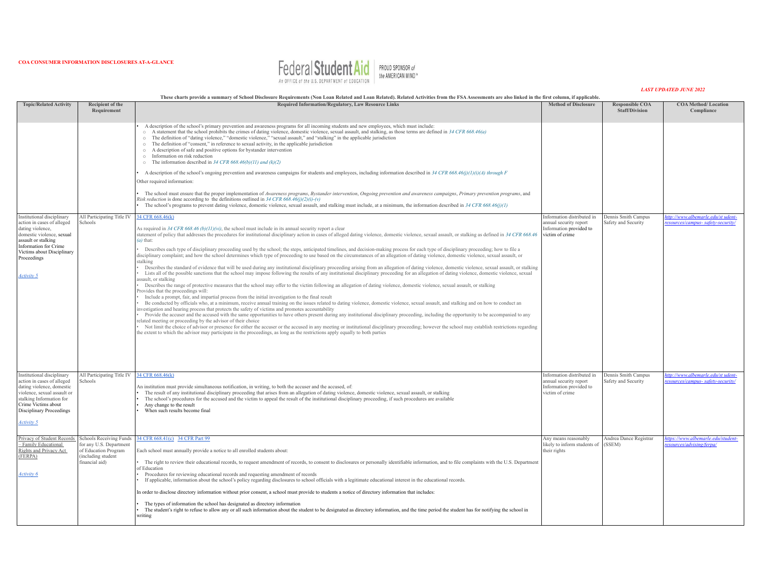

| These charts provide a summary of School Disclosure Requirements (Non Loan Related and Loan Related). Related Activities from the FSA Assessments are also linked in the first column, if applicable.                    |                                                                                                                   |                                                                                                                                                                                                                                                                                                                                                                                                                                                                                                                                                                                                                                                                                                                                                                                                                                                                                                                                                                                                                                                                                                                                                                                                                                                                                                                                                                                                                                                                                                                                                                                                                                                                                                                                                                                                                                                                                                                                                                                                                                                                                                                                                                                                                                                                                                                                                                                                                                   |                                                                                                    |                                                 |                                                                         |  |  |
|--------------------------------------------------------------------------------------------------------------------------------------------------------------------------------------------------------------------------|-------------------------------------------------------------------------------------------------------------------|-----------------------------------------------------------------------------------------------------------------------------------------------------------------------------------------------------------------------------------------------------------------------------------------------------------------------------------------------------------------------------------------------------------------------------------------------------------------------------------------------------------------------------------------------------------------------------------------------------------------------------------------------------------------------------------------------------------------------------------------------------------------------------------------------------------------------------------------------------------------------------------------------------------------------------------------------------------------------------------------------------------------------------------------------------------------------------------------------------------------------------------------------------------------------------------------------------------------------------------------------------------------------------------------------------------------------------------------------------------------------------------------------------------------------------------------------------------------------------------------------------------------------------------------------------------------------------------------------------------------------------------------------------------------------------------------------------------------------------------------------------------------------------------------------------------------------------------------------------------------------------------------------------------------------------------------------------------------------------------------------------------------------------------------------------------------------------------------------------------------------------------------------------------------------------------------------------------------------------------------------------------------------------------------------------------------------------------------------------------------------------------------------------------------------------------|----------------------------------------------------------------------------------------------------|-------------------------------------------------|-------------------------------------------------------------------------|--|--|
| <b>Topic/Related Activity</b>                                                                                                                                                                                            | Recipient of the<br>Requirement                                                                                   | <b>Required Information/Regulatory, Law Resource Links</b>                                                                                                                                                                                                                                                                                                                                                                                                                                                                                                                                                                                                                                                                                                                                                                                                                                                                                                                                                                                                                                                                                                                                                                                                                                                                                                                                                                                                                                                                                                                                                                                                                                                                                                                                                                                                                                                                                                                                                                                                                                                                                                                                                                                                                                                                                                                                                                        | <b>Method of Disclosure</b>                                                                        | <b>Responsible COA</b><br><b>Staff/Division</b> | <b>COA Method/Location</b><br>Compliance                                |  |  |
|                                                                                                                                                                                                                          |                                                                                                                   | A description of the school's primary prevention and awareness programs for all incoming students and new employees, which must include:<br>$\circ$ A statement that the school prohibits the crimes of dating violence, domestic violence, sexual assault, and stalking, as those terms are defined in 34 CFR 668.46(a)<br>o The definition of "dating violence," "domestic violence," "sexual assault," and "stalking" in the applicable jurisdiction<br>o The definition of "consent," in reference to sexual activity, in the applicable jurisdiction<br>o A description of safe and positive options for bystander intervention<br>o Information on risk reduction<br>$\circ$ The information described in 34 CFR 668.46(b)(11) and (k)(2)<br>A description of the school's ongoing prevention and awareness campaigns for students and employees, including information described in 34 CFR 668.46(j)(1)(i)(A) through F<br>Other required information:<br>The school must ensure that the proper implementation of Awareness programs, Bystander intervention, Ongoing prevention and awareness campaigns, Primary prevention programs, and<br>Risk reduction is done according to the definitions outlined in 34 CFR 668.46(j)(2)(i)-(v)<br>The school's programs to prevent dating violence, domestic violence, sexual assault, and stalking must include, at a minimum, the information described in 34 CFR 668.46(j)(1)                                                                                                                                                                                                                                                                                                                                                                                                                                                                                                                                                                                                                                                                                                                                                                                                                                                                                                                                                                                                |                                                                                                    |                                                 |                                                                         |  |  |
| Institutional disciplinary<br>action in cases of alleged<br>dating violence,<br>domestic violence, sexual<br>assault or stalking<br>Information for Crime<br>Victims about Disciplinary<br>Proceedings<br>Activity 5     | All Participating Title IV<br>Schools                                                                             | 34 CFR 668.46(k)<br>As required in 34 CFR 668.46 (b)(11)(vi), the school must include in its annual security report a clear<br>statement of policy that addresses the procedures for institutional disciplinary action in cases of alleged dating violence, domestic violence, sexual assault, or stalking as defined in 34 CFR 668.46<br>$(a)$ that:<br>Describes each type of disciplinary proceeding used by the school; the steps, anticipated timelines, and decision-making process for each type of disciplinary proceeding; how to file a<br>disciplinary complaint; and how the school determines which type of proceeding to use based on the circumstances of an allegation of dating violence, domestic violence, sexual assault, or<br>stalking<br>Describes the standard of evidence that will be used during any institutional disciplinary proceeding arising from an allegation of dating violence, domestic violence, sexual assault, or stalking<br>Lists all of the possible sanctions that the school may impose following the results of any institutional disciplinary proceeding for an allegation of dating violence, domestic violence, sexual<br>ssault, or stalking<br>Describes the range of protective measures that the school may offer to the victim following an allegation of dating violence, domestic violence, sexual assault, or stalking<br>Provides that the proceedings will:<br>Include a prompt, fair, and impartial process from the initial investigation to the final result<br>Be conducted by officials who, at a minimum, receive annual training on the issues related to dating violence, domestic violence, sexual assault, and stalking and on how to conduct an<br>investigation and hearing process that protects the safety of victims and promotes accountability<br>Provide the accuser and the accused with the same opportunities to have others present during any institutional disciplinary proceeding, including the opportunity to be accompanied to any<br>related meeting or proceeding by the advisor of their choice<br>Not limit the choice of advisor or presence for either the accuser or the accused in any meeting or institutional disciplinary proceeding; however the school may establish restrictions regarding<br>the extent to which the advisor may participate in the proceedings, as long as the restrictions apply equally to both parties | Information distributed in<br>annual security report<br>Information provided to<br>victim of crime | Dennis Smith Campus<br>Safety and Security      | http://www.albemarle.edu/st udent-<br>resources/campus-safety-security/ |  |  |
| Institutional disciplinary<br>action in cases of alleged<br>dating violence, domestic<br>violence, sexual assault or<br>stalking Information for<br>Crime Victims about<br><b>Disciplinary Proceedings</b><br>Activity 5 | All Participating Title IV<br>Schools                                                                             | 34 CFR 668.46(k)<br>An institution must provide simultaneous notification, in writing, to both the accuser and the accused, of:<br>The result of any institutional disciplinary proceeding that arises from an allegation of dating violence, domestic violence, sexual assault, or stalking<br>The school's procedures for the accused and the victim to appeal the result of the institutional disciplinary proceeding, if such procedures are available<br>Any change to the result<br>When such results become final                                                                                                                                                                                                                                                                                                                                                                                                                                                                                                                                                                                                                                                                                                                                                                                                                                                                                                                                                                                                                                                                                                                                                                                                                                                                                                                                                                                                                                                                                                                                                                                                                                                                                                                                                                                                                                                                                                          | Information distributed in<br>annual security report<br>Information provided to<br>victim of crime | Dennis Smith Campus<br>Safety and Security      | http://www.albemarle.edu/st udent-<br>resources/campus-safety-security/ |  |  |
| Privacy of Student Records<br>- Family Educational<br>Rights and Privacy Act<br>(FERPA)<br>Activity 6                                                                                                                    | Schools Receiving Funds<br>for any U.S. Department<br>of Education Program<br>including student<br>financial aid) | 34 CFR 668.41(c) 34 CFR Part 99<br>Each school must annually provide a notice to all enrolled students about:<br>The right to review their educational records, to request amendment of records, to consent to disclosures or personally identifiable information, and to file complaints with the U.S. Department<br>of Education<br>Procedures for reviewing educational records and requesting amendment of records<br>If applicable, information about the school's policy regarding disclosures to school officials with a legitimate educational interest in the educational records.<br>In order to disclose directory information without prior consent, a school must provide to students a notice of directory information that includes:<br>The types of information the school has designated as directory information<br>The student's right to refuse to allow any or all such information about the student to be designated as directory information, and the time period the student has for notifying the school in<br>writing                                                                                                                                                                                                                                                                                                                                                                                                                                                                                                                                                                                                                                                                                                                                                                                                                                                                                                                                                                                                                                                                                                                                                                                                                                                                                                                                                                                  | Any means reasonably<br>likely to inform students of<br>their rights                               | Andrea Dance Registrar<br>(SSEM)                | https://www.albemarle.edu/student-<br>resources/advising/ferpa/         |  |  |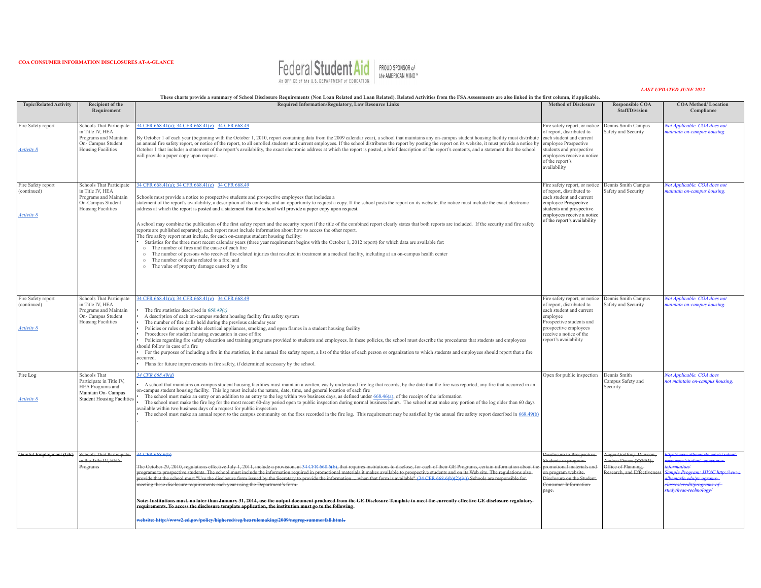

|                                                 | These charts provide a summary of School Disclosure Requirements (Non Loan Related and Loan Related). Related Activities from the FSA Assessments are also linked in the first column, if applicable. |                                                                                                                                                                                                                                                                                                                                                                                                                                                                                                                                                                                                                                                                                                                                                                                                                                                                                                                                                                                                                                                                                                                                                                                                                                                                                                                                                                             |                                                                                                                                                                                                             |                                                                                                     |                                                                                                                                                                                  |  |  |
|-------------------------------------------------|-------------------------------------------------------------------------------------------------------------------------------------------------------------------------------------------------------|-----------------------------------------------------------------------------------------------------------------------------------------------------------------------------------------------------------------------------------------------------------------------------------------------------------------------------------------------------------------------------------------------------------------------------------------------------------------------------------------------------------------------------------------------------------------------------------------------------------------------------------------------------------------------------------------------------------------------------------------------------------------------------------------------------------------------------------------------------------------------------------------------------------------------------------------------------------------------------------------------------------------------------------------------------------------------------------------------------------------------------------------------------------------------------------------------------------------------------------------------------------------------------------------------------------------------------------------------------------------------------|-------------------------------------------------------------------------------------------------------------------------------------------------------------------------------------------------------------|-----------------------------------------------------------------------------------------------------|----------------------------------------------------------------------------------------------------------------------------------------------------------------------------------|--|--|
| <b>Topic/Related Activity</b>                   | Recipient of the<br>Requirement                                                                                                                                                                       | Required Information/Regulatory, Law Resource Links                                                                                                                                                                                                                                                                                                                                                                                                                                                                                                                                                                                                                                                                                                                                                                                                                                                                                                                                                                                                                                                                                                                                                                                                                                                                                                                         | <b>Method of Disclosure</b>                                                                                                                                                                                 | <b>Responsible COA</b><br><b>Staff/Division</b>                                                     | <b>COA Method/Location</b><br>Compliance                                                                                                                                         |  |  |
| Fire Safety report<br>Activity 8                | Schools That Participate<br>in Title IV, HEA<br>Programs and Maintain<br>On- Campus Student<br><b>Housing Facilities</b>                                                                              | 34 CFR 668.41(a); 34 CFR 668.41(e) 34 CFR 668.49<br>By October 1 of each year (beginning with the October 1, 2010, report containing data from the 2009 calendar year), a school that maintains any on-campus student housing facility must distribute<br>an annual fire safety report, or notice of the report, to all enrolled students and current employees. If the school distributes the report by posting the report on its website, it must provide a notice by<br>October 1 that includes a statement of the report's availability, the exact electronic address at which the report is posted, a brief description of the report's contents, and a statement that the school<br>will provide a paper copy upon request.                                                                                                                                                                                                                                                                                                                                                                                                                                                                                                                                                                                                                                           | Fire safety report, or notice<br>of report, distributed to<br>each student and current<br>employee Prospective<br>students and prospective<br>employees receive a notice<br>of the report's<br>availability | Dennis Smith Campus<br>Safety and Security                                                          | Not Applicable. COA does not<br>naintain on-campus housing.                                                                                                                      |  |  |
| Fire Safety report<br>(continued)<br>Activity 8 | Schools That Participate<br>in Title IV. HEA<br>Programs and Maintain<br>On-Campus Student<br>Housing Facilities                                                                                      | 4 CFR 668.41(a); 34 CFR 668.41(e) 34 CFR 668.49<br>Schools must provide a notice to prospective students and prospective employees that includes a<br>statement of the report's availability, a description of its contents, and an opportunity to request a copy. If the school posts the report on its website, the notice must include the exact electronic<br>address at which the report is posted and a statement that the school will provide a paper copy upon request.<br>A school may combine the publication of the first safety report and the security report if the title of the combined report clearly states that both reports are included. If the security and fire safety<br>reports are published separately, each report must include information about how to access the other report.<br>The fire safety report must include, for each on-campus student housing facility:<br>Statistics for the three most recent calendar years (three year requirement begins with the October 1, 2012 report) for which data are available for:<br>o The number of fires and the cause of each fire<br>o The number of persons who received fire-related injuries that resulted in treatment at a medical facility, including at an on-campus health center<br>o The number of deaths related to a fire, and<br>o The value of property damage caused by a fire | Fire safety report, or notice<br>of report, distributed to<br>each student and current<br>employee Prospective<br>students and prospective<br>employees receive a notice<br>of the report's availability    | Dennis Smith Campus<br>Safety and Security                                                          | Not Applicable. COA does not<br>naintain on-campus housing.                                                                                                                      |  |  |
| Fire Safety report<br>(continued)<br>Activity 8 | Schools That Participate<br>in Title IV. HEA<br>Programs and Maintain<br>On- Campus Student<br><b>Housing Facilities</b>                                                                              | 4 CFR 668.41(a); 34 CFR 668.41(e) 34 CFR 668.49<br>The fire statistics described in $668.49(c)$<br>A description of each on-campus student housing facility fire safety system<br>The number of fire drills held during the previous calendar year<br>Policies or rules on portable electrical appliances, smoking, and open flames in a student housing facility<br>Procedures for student housing evacuation in case of fire<br>Policies regarding fire safety education and training programs provided to students and employees. In these policies, the school must describe the procedures that students and employees<br>should follow in case of a fire<br>For the purposes of including a fire in the statistics, in the annual fire safety report, a list of the titles of each person or organization to which students and employees should report that a fire<br>occurred.<br>Plans for future improvements in fire safety, if determined necessary by the school.                                                                                                                                                                                                                                                                                                                                                                                              | Fire safety report, or notice<br>of report, distributed to<br>each student and current<br>employee<br>Prospective students and<br>prospective employees<br>receive a notice of the<br>report's availability | Dennis Smith Campus<br>Safety and Security                                                          | Not Applicable. COA does not<br>naintain on-campus housing.                                                                                                                      |  |  |
| Fire Log<br>Activity 8                          | Schools That<br>Participate in Title IV,<br>HEA Programs and<br>Maintain On- Campus<br><b>Student Housing Facilities</b>                                                                              | 34 CFR 668.49(d)<br>A school that maintains on-campus student housing facilities must maintain a written, easily understood fire log that records, by the date that the fire was reported, any fire that occurred in an<br>on-campus student housing facility. This log must include the nature, date, time, and general location of each fire<br>The school must make an entry or an addition to an entry to the log within two business days, as defined under $668.46(a)$ , of the receipt of the information<br>The school must make the fire log for the most recent 60-day period open to public inspection during normal business hours. The school must make any portion of the log older than 60 days<br>vailable within two business days of a request for public inspection<br>The school must make an annual report to the campus community on the fires recorded in the fire log. This requirement may be satisfied by the annual fire safety report described in 668.49(b)                                                                                                                                                                                                                                                                                                                                                                                    | Open for public inspection                                                                                                                                                                                  | Dennis Smith<br>Campus Safety and<br>Security                                                       | Not Applicable. COA does<br>not maintain on-campus housing.                                                                                                                      |  |  |
| Gainful Employment (GE)                         | <b>Schools That Participate-</b><br>in the Title IV. HEA-<br>Programs                                                                                                                                 | 34 CFR 668.6(b)<br>The October 29, 2010, regulations effective July 1, 2011, include a provision, at 34 CFR 668.6(b), that requires institutions to disclose, for each of their GE Programs, certain information about the<br>programs to prospective students. The school must include the information required in promotional materials it makes available to prospective students and on its Web site. The regulations also-<br>provide that the school must "Use the disclosure form issued by the Secretary to provide the information  when that form is available" (34 CFR 668.6(b)(2)(iv)) Schools are responsible for<br>meeting these disclosure requirements each year using the Department's form.<br>Note: Institutions must, no later than January 31, 2014, use the output document produced from the GE Disclosure Template to meet the currently effective GE disclosure regulatory-                                                                                                                                                                                                                                                                                                                                                                                                                                                                       | Disclosure to Prospective-<br>Students in program-<br>promotional materials and<br>on program website.<br>Disclosure on the Student-<br><b>Consumer Information-</b><br>page.                               | Angie Godfrey-Dawson,<br>Andrea Dance (SSEM):-<br>Office of Planning.<br>Research, and Effectivenes | ttp://www.albemarle.edu/st-udent-<br>ees/student- eol<br>nple Program: HVAC http://<br><u>lbemarle.edu/pr ogram</u><br><mark>:lasses/credit/prograi</mark><br>udv/hvac-technolos |  |  |
|                                                 |                                                                                                                                                                                                       | requirements. To access the disclosure template application, the institution must go to the following                                                                                                                                                                                                                                                                                                                                                                                                                                                                                                                                                                                                                                                                                                                                                                                                                                                                                                                                                                                                                                                                                                                                                                                                                                                                       |                                                                                                                                                                                                             |                                                                                                     |                                                                                                                                                                                  |  |  |
|                                                 |                                                                                                                                                                                                       | website: http://www2.ed.gov/policy/highered/reg/hearulemaking/2009/negreg-summerfall.html=                                                                                                                                                                                                                                                                                                                                                                                                                                                                                                                                                                                                                                                                                                                                                                                                                                                                                                                                                                                                                                                                                                                                                                                                                                                                                  |                                                                                                                                                                                                             |                                                                                                     |                                                                                                                                                                                  |  |  |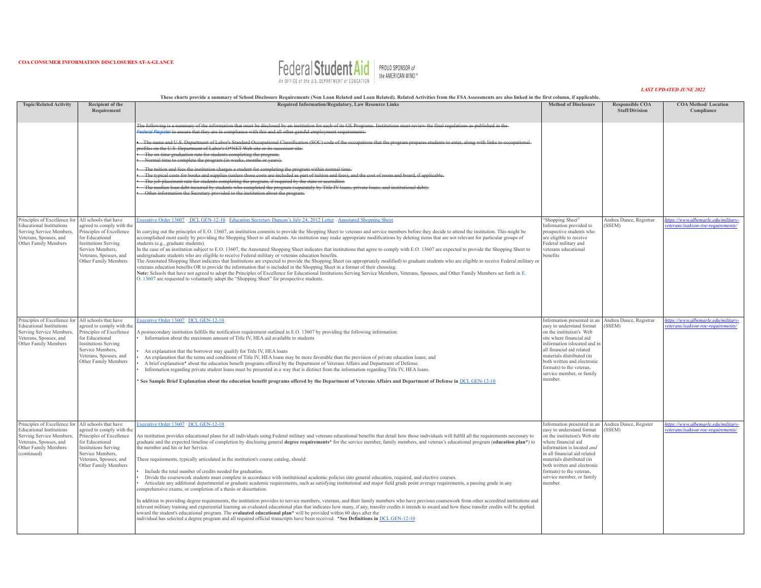

# *LAST UPDATED JUNE 2022 study/hvac-technology/*

|                                                                                                                                                                     |                                                                                                                                                                                                        | These charts provide a summary of School Disclosure Requirements (Non Loan Related and Loan Related). Related Activities from the FSA Assessments are also linked in the first column, if applicable.                                                                                                                                                                                                                                                                                                                                                                                                                                                                                                                                                                                                                                                                                                                                                                                                                                                                                                                                                                                                                                                                                                                                                                                                                                                                                                                                                                                                                                                                                                                                                 |                                                                                                                                                                                                                                                                                                                                      |                                                 |                                                                           |
|---------------------------------------------------------------------------------------------------------------------------------------------------------------------|--------------------------------------------------------------------------------------------------------------------------------------------------------------------------------------------------------|-------------------------------------------------------------------------------------------------------------------------------------------------------------------------------------------------------------------------------------------------------------------------------------------------------------------------------------------------------------------------------------------------------------------------------------------------------------------------------------------------------------------------------------------------------------------------------------------------------------------------------------------------------------------------------------------------------------------------------------------------------------------------------------------------------------------------------------------------------------------------------------------------------------------------------------------------------------------------------------------------------------------------------------------------------------------------------------------------------------------------------------------------------------------------------------------------------------------------------------------------------------------------------------------------------------------------------------------------------------------------------------------------------------------------------------------------------------------------------------------------------------------------------------------------------------------------------------------------------------------------------------------------------------------------------------------------------------------------------------------------------|--------------------------------------------------------------------------------------------------------------------------------------------------------------------------------------------------------------------------------------------------------------------------------------------------------------------------------------|-------------------------------------------------|---------------------------------------------------------------------------|
| <b>Topic/Related Activity</b>                                                                                                                                       | <b>Recipient of the</b><br>Requirement                                                                                                                                                                 | <b>Required Information/Regulatory, Law Resource Links</b>                                                                                                                                                                                                                                                                                                                                                                                                                                                                                                                                                                                                                                                                                                                                                                                                                                                                                                                                                                                                                                                                                                                                                                                                                                                                                                                                                                                                                                                                                                                                                                                                                                                                                            | <b>Method of Disclosure</b>                                                                                                                                                                                                                                                                                                          | <b>Responsible COA</b><br><b>Staff/Division</b> | <b>COA Method/Location</b><br>Compliance                                  |
|                                                                                                                                                                     |                                                                                                                                                                                                        | The following is a summary of the information that must be disclosed by an institution for each of its GE Programs. Institutions must review the final regulations as published in the-<br>Federal Register to ensure that they are in compliance with this and all other gainful employment requirements:<br>The name and U.S. Department of Labor's Standard Occupational Classification (SOC) code of the occupations that the program prepares students to enter, along with links to occupational-<br>profiles on the U.S. Department of Labor's O*NET Web site or its successor site.<br>The on-time graduation rate for students completing the program.<br>Normal time to complete the program (in weeks, months or years).<br>The tuition and fees the institution charges a student for completing the program within normal time.<br>The typical costs for books and supplies (unless those costs are included as part of tuition and fees), and the cost of room and board, if applicable.<br>The job placement rate for students completing the program, if required by the state or accreditor.<br>-The median loan debt incurred by students who completed the program (separately by Title IV loans, private loans, and institutional debt).<br>Other information the Secretary provided to the institution about the program.                                                                                                                                                                                                                                                                                                                                                                                                        |                                                                                                                                                                                                                                                                                                                                      |                                                 |                                                                           |
| Principles of Excellence for<br><b>Educational Institutions</b><br>Serving Service Members,<br>Veterans, Spouses, and<br>Other Family Members                       | All schools that have<br>agreed to comply with the<br>Principles of Excellence<br>for Educational<br><b>Institutions Serving</b><br>Service Members,<br>Veterans, Spouses, and<br>Other Family Members | Executive Order 13607 DCL GEN-12-10 Education Secretary Duncan's July 24, 2012 Letter Annotated Shopping Sheet<br>In carrying out the principles of E.O. 13607, an institution commits to provide the Shopping Sheet to veterans and service members before they decide to attend the institution. This might be<br>accomplished most easily by providing the Shopping Sheet to all students. An institution may make appropriate modifications by deleting items that are not relevant for particular groups of<br>students (e.g., graduate students).<br>In the case of an institution subject to E.O. 13607, the Annotated Shopping Sheet indicates that institutions that agree to comply with E.O. 13607 are expected to provide the Shopping Sheet to<br>undergraduate students who are eligible to receive Federal military or veterans education benefits.<br>The Annotated Shopping Sheet indicates that Institutions are expected to provide the Shopping Sheet (as appropriately modified) to graduate students who are eligible to receive Federal military or<br>veterans education benefits OR to provide the information that is included in the Shopping Sheet in a format of their choosing.<br>Note: Schools that have not agreed to adopt the Principles of Excellence for Educational Institutions Serving Service Members, Veterans, Spouses, and Other Family Members set forth in E.<br>O. 13607 are requested to voluntarily adopt the "Shopping Sheet" for prospective students.                                                                                                                                                                                                                                             | 'Shopping Sheet"<br>Information provided to<br>prospective students who<br>are eligible to receive<br>Federal military and<br>veterans educational<br>benefits                                                                                                                                                                       | Andrea Dance, Registrar<br>(SSEM)               | ttps://www.albemarle.edu/military-<br>eterans/isakson-roe-reauirements/   |
| Principles of Excellence for All schools that have<br><b>Educational Institutions</b><br>Serving Service Members,<br>Veterans, Spouses, and<br>Other Family Members | agreed to comply with the<br>Principles of Excellence<br>for Educational<br><b>Institutions Serving</b><br>Service Members,<br>Veterans, Spouses, and<br>Other Family Members                          | Executive Order 13607 DCL GEN-12-10<br>A postsecondary institution fulfills the notification requirement outlined in E.O. 13607 by providing the following information:<br>Information about the maximum amount of Title IV, HEA aid available to students<br>An explanation that the borrower may qualify for Title IV, HEA loans<br>An explanation that the terms and conditions of Title IV, HEA loans may be more favorable than the provision of private education loans; and<br>A brief explanation* about the education benefit programs offered by the Department of Veterans Affairs and Department of Defense.<br>Information regarding private student loans must be presented in a way that is distinct from the information regarding Title IV, HEA loans.<br>See Sample Brief Explanation about the education benefit programs offered by the Department of Veterans Affairs and Department of Defense in DCL GEN-12-10                                                                                                                                                                                                                                                                                                                                                                                                                                                                                                                                                                                                                                                                                                                                                                                                                 | Information presented in an Andrea Dance, Registrar<br>easy to understand format<br>on the institution's Web<br>site where financial aid<br>information islocated and in<br>all financial aid related<br>materials distributed (in<br>both written and electronic<br>formats) to the veteran,<br>service member, or family<br>member | (SSEM)                                          | https://www.albemarle.edu/military-<br>eterans/isakson-roe-requirements/  |
| Principles of Excellence for<br><b>Educational Institutions</b><br>Serving Service Members,<br>Veterans, Spouses, and<br>Other Family Members<br>(continued)        | All schools that have<br>agreed to comply with the<br>Principles of Excellence<br>for Educational<br><b>Institutions Serving</b><br>Service Members,<br>Veterans, Spouses, and<br>Other Family Members | Executive Order 13607 DCL GEN-12-10<br>An institution provides educational plans for all individuals using Federal military and veterans educational benefits that detail how those individuals will fulfill all the requirements necessary to<br>graduate and the expected timeline of completion by disclosing general degree requirements* for the service member, family members, and veteran's educational program (education plan*) to<br>the member and his or her Service.<br>These requirements, typically articulated in the institution's course catalog, should:<br>Include the total number of credits needed for graduation.<br>Divide the coursework students must complete in accordance with institutional academic policies into general education, required, and elective courses.<br>Articulate any additional departmental or graduate academic requirements, such as satisfying institutional and major field grade point average requirements, a passing grade in any<br>comprehensive exams, or completion of a thesis or dissertation.<br>In addition to providing degree requirements, the institution provides to service members, veterans, and their family members who have previous coursework from other accredited institutions and<br>relevant military training and experiential learning an evaluated educational plan that indicates how many, if any, transfer credits it intends to award and how these transfer credits will be applied<br>toward the student's educational program. The <b>evaluated educational plan*</b> will be provided within 60 days after the<br>individual has selected a degree program and all required official transcripts have been received. *See Definitions in DCL GEN-12-10 | Information presented in an<br>easy to understand format<br>on the institution's Web site<br>where financial aid<br>information is located and<br>in all financial aid related<br>materials distributed (in<br>both written and electronic<br>formats) to the veteran,<br>service member, or family<br>member.                       | Andrea Dance, Register<br>(SSEM)                | https://www.albemarle.edu/military-<br>veterans/isakson-roe-requirements/ |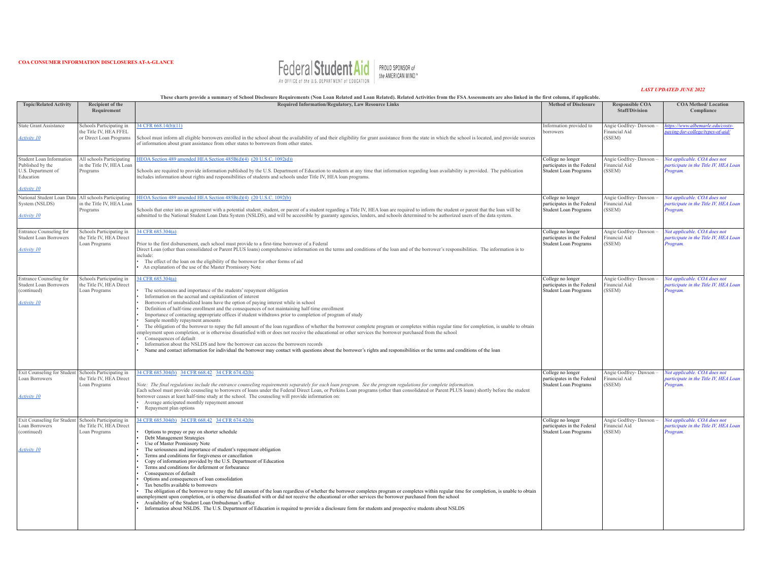

| <b>Topic/Related Activity</b>                                                                        | Recipient of the                                                              | Required Information/Regulatory, Law Resource Links                                                                                                                                                                                                                                                                                                                                                                                                                                                                                                                                                                                                                                                                                                                                                                                                                                                                                                                                                                                                                                                                                                          | <b>Method of Disclosure</b>                                                      | <b>Responsible COA</b>                           | <b>COA Method/ Location</b>                                                       |
|------------------------------------------------------------------------------------------------------|-------------------------------------------------------------------------------|--------------------------------------------------------------------------------------------------------------------------------------------------------------------------------------------------------------------------------------------------------------------------------------------------------------------------------------------------------------------------------------------------------------------------------------------------------------------------------------------------------------------------------------------------------------------------------------------------------------------------------------------------------------------------------------------------------------------------------------------------------------------------------------------------------------------------------------------------------------------------------------------------------------------------------------------------------------------------------------------------------------------------------------------------------------------------------------------------------------------------------------------------------------|----------------------------------------------------------------------------------|--------------------------------------------------|-----------------------------------------------------------------------------------|
|                                                                                                      | Requirement                                                                   |                                                                                                                                                                                                                                                                                                                                                                                                                                                                                                                                                                                                                                                                                                                                                                                                                                                                                                                                                                                                                                                                                                                                                              |                                                                                  | <b>Staff/Division</b>                            | Compliance                                                                        |
| <b>State Grant Assistance</b><br>Activity 10                                                         | Schools Participating in<br>the Title IV, HEA FFEL<br>or Direct Loan Programs | 34 CFR 668.14(b)(11)<br>School must inform all eligible borrowers enrolled in the school about the availability of and their eligibility for grant assistance from the state in which the school is located, and provide sources<br>of information about grant assistance from other states to borrowers from other states.                                                                                                                                                                                                                                                                                                                                                                                                                                                                                                                                                                                                                                                                                                                                                                                                                                  | Information provided to<br>porrowers                                             | Angie Godfrey-Dawson-<br>Financial Aid<br>(SSEM) | https://www.albemarle.edu/costs-<br>paying-for-college/types-of-aid/              |
| Student Loan Information<br>Published by the<br>U.S. Department of<br>Education<br>Activity 10       | All schools Participating<br>in the Title IV, HEA Loan<br>Programs            | HEOA Section 489 amended HEA Section 485B(d)(4) (20 U.S.C. 1092(d))<br>Schools are required to provide information published by the U.S. Department of Education to students at any time that information regarding loan availability is provided. The publication<br>includes information about rights and responsibilities of students and schools under Title IV, HEA loan programs.                                                                                                                                                                                                                                                                                                                                                                                                                                                                                                                                                                                                                                                                                                                                                                      | College no longer<br>participates in the Federal<br>Student Loan Programs        | Angie Godfrey-Dawson-<br>Financial Aid<br>(SSEM) | Not applicable. COA does not<br>participate in the Title IV, HEA Loan<br>Program. |
| National Student Loan Data<br>System (NSLDS)<br><b>Activity 10</b>                                   | All schools Participating<br>in the Title IV. HEA Loan<br>Programs            | HEOA Section 489 amended HEA Section 485B(d)(4) (20 U.S.C. 1092(b)<br>Schools that enter into an agreement with a potential student, student, or parent of a student regarding a Title IV, HEA loan are required to inform the student or parent that the loan will be<br>submitted to the National Student Loan Data System (NSLDS), and will be accessible by guaranty agencies, lenders, and schools determined to be authorized users of the data system.                                                                                                                                                                                                                                                                                                                                                                                                                                                                                                                                                                                                                                                                                                | College no longer<br>participates in the Federal<br>Student Loan Programs        | Angie Godfrey-Dawson-<br>Financial Aid<br>(SSEM) | Not applicable. COA does not<br>participate in the Title IV, HEA Loan<br>Program. |
| Entrance Counseling for<br><b>Student Loan Borrowers</b><br>Activity 10                              | Schools Participating in<br>the Title IV, HEA Direct<br>Loan Programs         | 34 CFR 685.304(a)<br>Prior to the first disbursement, each school must provide to a first-time borrower of a Federal<br>Direct Loan (other than consolidated or Parent PLUS loans) comprehensive information on the terms and conditions of the loan and of the borrower's responsibilities. The information is to<br>include:<br>The effect of the loan on the eligibility of the borrower for other forms of aid<br>An explanation of the use of the Master Promissory Note                                                                                                                                                                                                                                                                                                                                                                                                                                                                                                                                                                                                                                                                                | College no longer<br>participates in the Federal<br><b>Student Loan Programs</b> | Angie Godfrey-Dawson-<br>Financial Aid<br>(SSEM) | Not applicable. COA does not<br>participate in the Title IV, HEA Loan<br>Program. |
| <b>Entrance Counseling for</b><br><b>Student Loan Borrowers</b><br>(continued)<br><b>Activity 10</b> | Schools Participating in<br>the Title IV, HEA Direct<br>Loan Programs         | 4 CFR 685.304(a)<br>The seriousness and importance of the students' repayment obligation<br>Information on the accrual and capitalization of interest<br>Borrowers of unsubsidized loans have the option of paying interest while in school<br>Definition of half-time enrollment and the consequences of not maintaining half-time enrollment<br>Importance of contacting appropriate offices if student withdraws prior to completion of program of study<br>Sample monthly repayment amounts<br>The obligation of the borrower to repay the full amount of the loan regardless of whether the borrower complete program or completes within regular time for completion, is unable to obtain<br>mployment upon completion, or is otherwise dissatisfied with or does not receive the educational or other services the borrower purchased from the school<br>Consequences of default<br>Information about the NSLDS and how the borrower can access the borrowers records<br>Name and contact information for individual the borrower may contact with questions about the borrower's rights and responsibilities or the terms and conditions of the loan | College no longer<br>participates in the Federal<br>Student Loan Programs        | Angie Godfrey-Dawson-<br>Financial Aid<br>(SSEM) | Not applicable. COA does not<br>participate in the Title IV, HEA Loan<br>Program. |
| Exit Counseling for Student Schools Participating in<br>Loan Borrowers<br><b>Activity 10</b>         | the Title IV, HEA Direct<br>Loan Programs                                     | 34 CFR 685.304(b) 34 CFR 668.42 34 CFR 674.42(b)<br>Note: The final regulations include the entrance counseling requirements separately for each loan program. See the program regulations for complete information.<br>Each school must provide counseling to borrowers of loans under the Federal Direct Loan, or Perkins Loan programs (other than consolidated or Parent PLUS loans) shortly before the student<br>borrower ceases at least half-time study at the school. The counseling will provide information on:<br>Average anticipated monthly repayment amount<br>Repayment plan options                                                                                                                                                                                                                                                                                                                                                                                                                                                                                                                                                         | College no longer<br>participates in the Federal<br><b>Student Loan Programs</b> | Angie Godfrey-Dawson-<br>Financial Aid<br>(SSEM) | Not applicable. COA does not<br>participate in the Title IV, HEA Loan<br>Program. |
| Exit Counseling for Student<br>Loan Borrowers<br>(continued)<br>Activity 10                          | Schools Participating in<br>the Title IV, HEA Direct<br>Loan Programs         | (4 CFR 685.304(b) 34 CFR 668.42 34 CFR 674.42(b)<br>Options to prepay or pay on shorter schedule<br>Debt Management Strategies<br>Use of Master Promissory Note<br>The seriousness and importance of student's repayment obligation<br>Terms and conditions for forgiveness or cancellation<br>Copy of information provided by the U.S. Department of Education<br>Terms and conditions for deferment or forbearance<br>Consequences of default<br>Options and consequences of loan consolidation<br>Tax benefits available to borrowers<br>The obligation of the borrower to repay the full amount of the loan regardless of whether the borrower completes program or completes within regular time for completion, is unable to obtain<br>unemployment upon completion, or is otherwise dissatisfied with or did not receive the educational or other services the borrower purchased from the school<br>Availability of the Student Loan Ombudsman's office<br>Information about NSLDS. The U.S. Department of Education is required to provide a disclosure form for students and prospective students about NSLDS                                      | College no longer<br>participates in the Federal<br>Student Loan Programs        | Angie Godfrey-Dawson-<br>Financial Aid<br>(SSEM) | Not applicable. COA does not<br>participate in the Title IV, HEA Loan<br>Program. |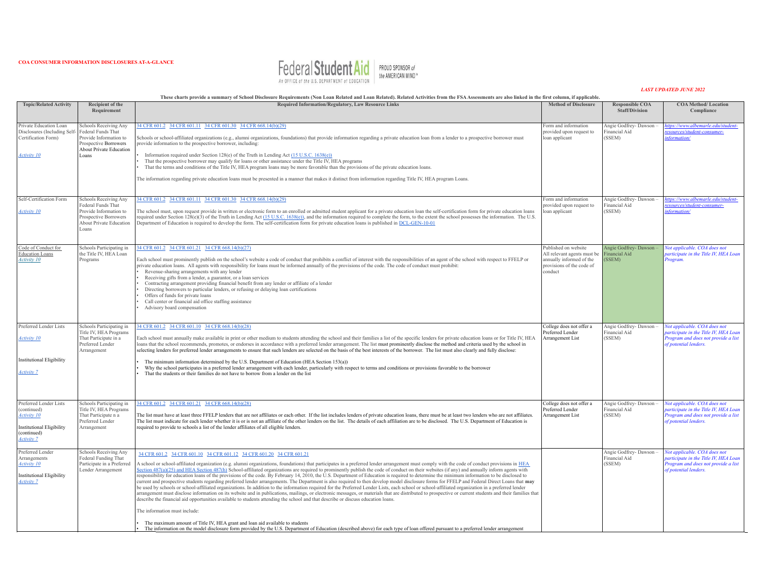

| These charts provide a summary of School Disclosure Requirements (Non Loan Related and Loan Related). Related Activities from the FSA Assessments are also linked in the first column, if applicable. |                                                                                                                                           |                                                                                                                                                                                                                                                                                                                                                                                                                                                                                                                                                                                                                                                                                                                                                                                                                                                                                                                                                                                                                                                                                                                                                                                                                                                                                                                                                                                                                                                                                                                                                                                                                                                                                                                                                  |                                                                                                                         |                                                         |                                                                                                                                       |  |  |  |
|-------------------------------------------------------------------------------------------------------------------------------------------------------------------------------------------------------|-------------------------------------------------------------------------------------------------------------------------------------------|--------------------------------------------------------------------------------------------------------------------------------------------------------------------------------------------------------------------------------------------------------------------------------------------------------------------------------------------------------------------------------------------------------------------------------------------------------------------------------------------------------------------------------------------------------------------------------------------------------------------------------------------------------------------------------------------------------------------------------------------------------------------------------------------------------------------------------------------------------------------------------------------------------------------------------------------------------------------------------------------------------------------------------------------------------------------------------------------------------------------------------------------------------------------------------------------------------------------------------------------------------------------------------------------------------------------------------------------------------------------------------------------------------------------------------------------------------------------------------------------------------------------------------------------------------------------------------------------------------------------------------------------------------------------------------------------------------------------------------------------------|-------------------------------------------------------------------------------------------------------------------------|---------------------------------------------------------|---------------------------------------------------------------------------------------------------------------------------------------|--|--|--|
| <b>Topic/Related Activity</b>                                                                                                                                                                         | Recipient of the<br>Requirement                                                                                                           | <b>Required Information/Regulatory, Law Resource Links</b>                                                                                                                                                                                                                                                                                                                                                                                                                                                                                                                                                                                                                                                                                                                                                                                                                                                                                                                                                                                                                                                                                                                                                                                                                                                                                                                                                                                                                                                                                                                                                                                                                                                                                       | <b>Method of Disclosure</b>                                                                                             | <b>Responsible COA</b><br><b>Staff/Division</b>         | <b>COA Method/Location</b><br>Compliance                                                                                              |  |  |  |
| Private Education Loan<br>Disclosures (Including Self-<br>Certification Form)<br>Activity 10                                                                                                          | Schools Receiving Any<br>Federal Funds That<br>Provide Information to<br>Prospective Borrowers<br><b>About Private Education</b><br>Loans | 34 CFR 601.2 34 CFR 601.11 34 CFR 601.30 34 CFR 668.14(b)(29)<br>Schools or school-affiliated organizations (e.g., alumni organizations, foundations) that provide information regarding a private education loan from a lender to a prospective borrower must<br>provide information to the prospective borrower, including:<br>Information required under Section 128(e) of the Truth in Lending Act (15 U.S.C. 1638(e))<br>That the prospective borrower may qualify for loans or other assistance under the Title IV, HEA programs<br>That the terms and conditions of the Title IV, HEA program loans may be more favorable than the provisions of the private education loans.<br>The information regarding private education loans must be presented in a manner that makes it distinct from information regarding Title IV, HEA program Loans.                                                                                                                                                                                                                                                                                                                                                                                                                                                                                                                                                                                                                                                                                                                                                                                                                                                                                           | Form and information<br>provided upon request to<br>loan applicant                                                      | Angie Godfrey-Dawson-<br>Financial Aid<br>(SSEM)        | https://www.albemarle.edu/student-<br>resources/student-consumer-<br>nformation/                                                      |  |  |  |
| Self-Certification Form<br>Activity 10                                                                                                                                                                | Schools Receiving Any<br>Federal Funds That<br>Provide Information to<br>Prospective Borrowers<br><b>About Private Education</b><br>Loans | 34 CFR 601.2 34 CFR 601.11 34 CFR 601.30 34 CFR 668.14(b)(29)<br>The school must, upon request provide in written or electronic form to an enrolled or admitted student applicant for a private education loan the self-certification form for private education loans<br>required under Section $128(e)(3)$ of the Truth in Lending Act (15 U.S.C. 1638(e)), and the information required to complete the form, to the extent the school possesses the information. The U.S.<br>Department of Education is required to develop the form. The self-certification form for private education loans is published in DCL-GEN-10-01                                                                                                                                                                                                                                                                                                                                                                                                                                                                                                                                                                                                                                                                                                                                                                                                                                                                                                                                                                                                                                                                                                                  | Form and information<br>provided upon request to<br>oan applicant                                                       | Angie Godfrey-Dawson-<br>Financial Aid<br>(SSEM)        | https://www.albemarle.edu/student-<br>resources/student-consumer-<br>nformation/                                                      |  |  |  |
| Code of Conduct for<br><b>Education Loans</b><br>Activity 10                                                                                                                                          | Schools Participating in<br>the Title IV, HEA Loan<br>Programs                                                                            | 34 CFR 601.2 34 CFR 601.21 34 CFR 668.14(b)(27)<br>Each school must prominently publish on the school's website a code of conduct that prohibits a conflict of interest with the responsibilities of an agent of the school with respect to FFELP or<br>private education loans. All agents with responsibility for loans must be informed annually of the provisions of the code. The code of conduct must prohibit:<br>Revenue-sharing arrangements with any lender<br>Receiving gifts from a lender, a guarantor, or a loan services<br>Contracting arrangement providing financial benefit from any lender or affiliate of a lender<br>Directing borrowers to particular lenders, or refusing or delaying loan certifications<br>Offers of funds for private loans<br>Call center or financial aid office staffing assistance<br>Advisory board compensation                                                                                                                                                                                                                                                                                                                                                                                                                                                                                                                                                                                                                                                                                                                                                                                                                                                                                 | Published on website<br>All relevant agents must be<br>annually informed of the<br>provisions of the code of<br>conduct | Angie Godfrey-Dawson-<br><b>Financial Aid</b><br>(SSEM) | Not applicable. COA does not<br>participate in the Title IV, HEA Loan<br>Program.                                                     |  |  |  |
| Preferred Lender Lists<br>Activity 10<br><b>Institutional Eligibility</b><br>Activity 7                                                                                                               | Schools Participating in<br>Title IV, HEA Programs<br>That Participate in a<br>Preferred Lender<br>Arrangement                            | 4 CFR 601.2 34 CFR 601.10 34 CFR 668.14(b)(28)<br>Each school must annually make available in print or other medium to students attending the school and their families a list of the specific lenders for private education loans or for Title IV, HEA<br>loans that the school recommends, promotes, or endorses in accordance with a preferred lender arrangement. The list must prominently disclose the method and criteria used by the school in<br>selecting lenders for preferred lender arrangements to ensure that such lenders are selected on the basis of the best interests of the borrower. The list must also clearly and fully disclose:<br>The minimum information determined by the U.S. Department of Education (HEA Section 153(a))<br>Why the school participates in a preferred lender arrangement with each lender, particularly with respect to terms and conditions or provisions favorable to the borrower<br>That the students or their families do not have to borrow from a lender on the list                                                                                                                                                                                                                                                                                                                                                                                                                                                                                                                                                                                                                                                                                                                     | College does not offer a<br>Preferred Lender<br>Arrangement List                                                        | Angie Godfrey-Dawson-<br>Financial Aid<br>(SSEM)        | Not applicable. COA does not<br>participate in the Title IV, HEA Loan<br>Program and does not provide a list<br>of potential lenders. |  |  |  |
| Preferred Lender Lists<br>(continued)<br><b>Activity 10</b><br><b>Institutional Eligibility</b><br>(continued)<br>Activity 7                                                                          | Schools Participating in<br>Title IV, HEA Programs<br>That Participate n a<br>Preferred Lender<br>Arrangement                             | 4 CFR 601.2 34 CFR 601.21 34 CFR 668.14(b)(28)<br>The list must have at least three FFELP lenders that are not affiliates or each other. If the list includes lenders of private education loans, there must be at least two lenders who are not affiliates.<br>The list must indicate for each lender whether it is or is not an affiliate of the other lenders on the list. The details of each affiliation are to be disclosed. The U.S. Department of Education is<br>required to provide to schools a list of the lender affiliates of all eligible lenders.                                                                                                                                                                                                                                                                                                                                                                                                                                                                                                                                                                                                                                                                                                                                                                                                                                                                                                                                                                                                                                                                                                                                                                                | College does not offer a<br>Preferred Lender<br><b>Arrangement List</b>                                                 | Angie Godfrey-Dawson-<br>Financial Aid<br>(SSEM)        | Not applicable. COA does not<br>participate in the Title IV, HEA Loan<br>Program and does not provide a list<br>of potential lenders. |  |  |  |
| Preferred Lender<br>Arrangements<br><b>Activity 10</b><br><b>Institutional Eligibility</b><br>Activity 7                                                                                              | <b>Schools Receiving Any</b><br>Federal Funding That<br>Participate in a Preferred<br>Lender Arrangement                                  | 34 CFR 601.2 34 CFR 601.10 34 CFR 601.12 34 CFR 601.20 34 CFR 601.21<br>A school or school-affiliated organization (e.g. alumni organizations, foundations) that participates in a preferred lender arrangement must comply with the code of conduct provisions in HEA<br>$\epsilon$ ection 487(a)(25) and HEA Section 487(h) School-affiliated organizations are required to prominently publish the code of conduct on their websites (if any) and annually inform agents with<br>responsibility for education loans of the provisions of the code. By February 14, 2010, the U.S. Department of Education is required to determine the minimum information to be disclosed to<br>current and prospective students regarding preferred lender arrangements. The Department is also required to then develop model disclosure forms for FFELP and Federal Direct Loans that may<br>be used by schools or school-affiliated organizations. In addition to the information required for the Preferred Lender Lists, each school or school-affiliated organization in a preferred lender<br>arrangement must disclose information on its website and in publications, mailings, or electronic messages, or materials that are distributed to prospective or current students and their families that<br>describe the financial aid opportunities available to students attending the school and that describe or discuss education loans.<br>The information must include:<br>The maximum amount of Title IV, HEA grant and loan aid available to students<br>The information on the model disclosure form provided by the U.S. Department of Education (described above) for each type of loan offered pursuant to a preferred lender arrangement |                                                                                                                         | Angie Godfrey-Dawson -<br>Financial Aid<br>(SSEM)       | Not applicable. COA does not<br>participate in the Title IV, HEA Loan<br>Program and does not provide a list<br>of potential lenders. |  |  |  |